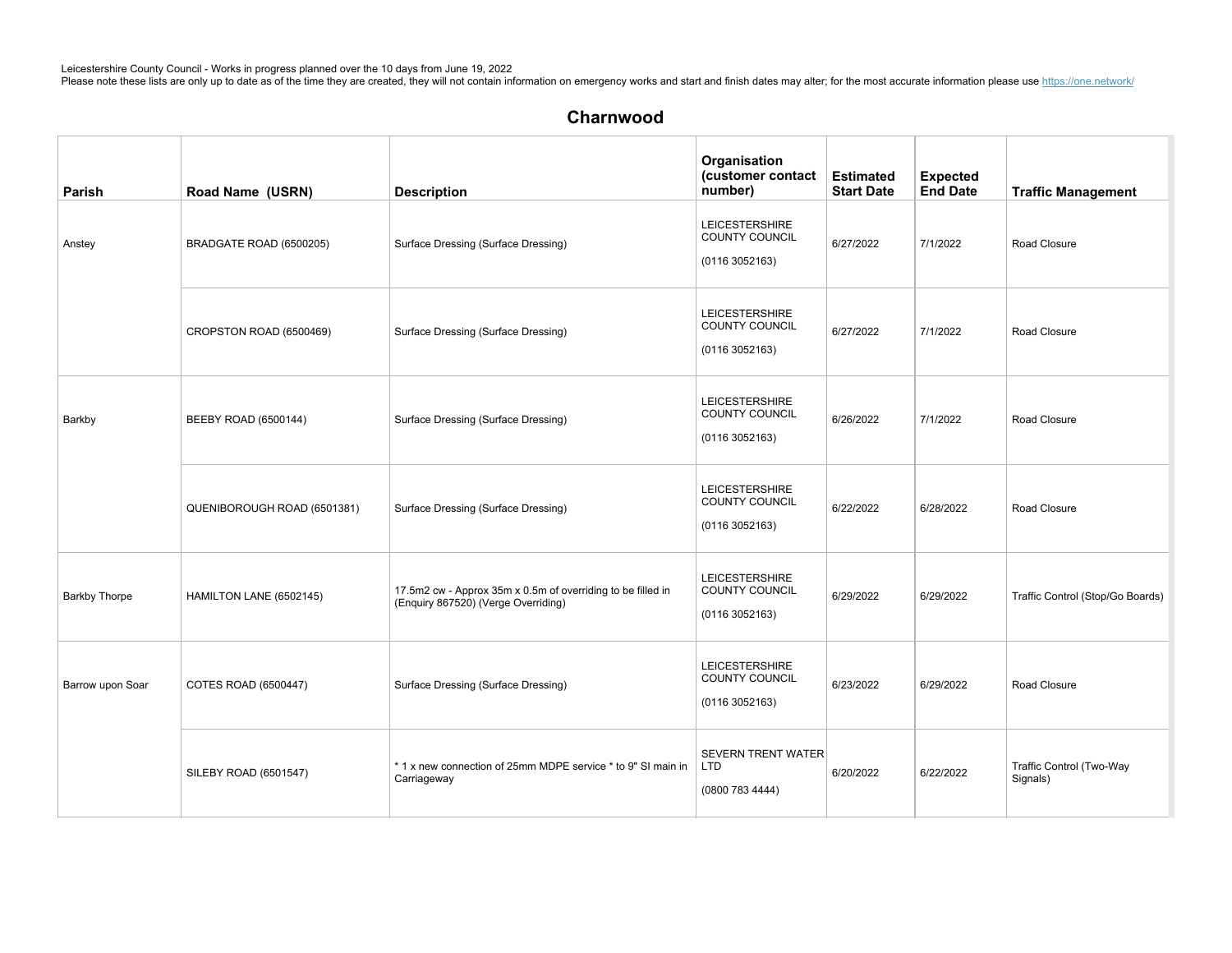| Parish               | Road Name (USRN)            | <b>Description</b>                                                                                 | Organisation<br>(customer contact<br>number)                    | <b>Estimated</b><br><b>Start Date</b> | <b>Expected</b><br><b>End Date</b> | <b>Traffic Management</b>            |
|----------------------|-----------------------------|----------------------------------------------------------------------------------------------------|-----------------------------------------------------------------|---------------------------------------|------------------------------------|--------------------------------------|
| Anstey               | BRADGATE ROAD (6500205)     | Surface Dressing (Surface Dressing)                                                                | <b>LEICESTERSHIRE</b><br>COUNTY COUNCIL<br>(01163052163)        | 6/27/2022                             | 7/1/2022                           | Road Closure                         |
|                      | CROPSTON ROAD (6500469)     | Surface Dressing (Surface Dressing)                                                                | <b>LEICESTERSHIRE</b><br><b>COUNTY COUNCIL</b><br>(01163052163) | 6/27/2022                             | 7/1/2022                           | Road Closure                         |
| Barkby               | BEEBY ROAD (6500144)        | Surface Dressing (Surface Dressing)                                                                | <b>LEICESTERSHIRE</b><br>COUNTY COUNCIL<br>(01163052163)        | 6/26/2022                             | 7/1/2022                           | Road Closure                         |
|                      | QUENIBOROUGH ROAD (6501381) | Surface Dressing (Surface Dressing)                                                                | <b>LEICESTERSHIRE</b><br>COUNTY COUNCIL<br>(01163052163)        | 6/22/2022                             | 6/28/2022                          | Road Closure                         |
| <b>Barkby Thorpe</b> | HAMILTON LANE (6502145)     | 17.5m2 cw - Approx 35m x 0.5m of overriding to be filled in<br>(Enquiry 867520) (Verge Overriding) | <b>LEICESTERSHIRE</b><br>COUNTY COUNCIL<br>(01163052163)        | 6/29/2022                             | 6/29/2022                          | Traffic Control (Stop/Go Boards)     |
| Barrow upon Soar     | COTES ROAD (6500447)        | Surface Dressing (Surface Dressing)                                                                | <b>LEICESTERSHIRE</b><br><b>COUNTY COUNCIL</b><br>(01163052163) | 6/23/2022                             | 6/29/2022                          | Road Closure                         |
|                      | SILEBY ROAD (6501547)       | *1 x new connection of 25mm MDPE service * to 9" SI main in<br>Carriageway                         | <b>SEVERN TRENT WATER</b><br>L <sub>TD</sub><br>(0800 783 4444) | 6/20/2022                             | 6/22/2022                          | Traffic Control (Two-Way<br>Signals) |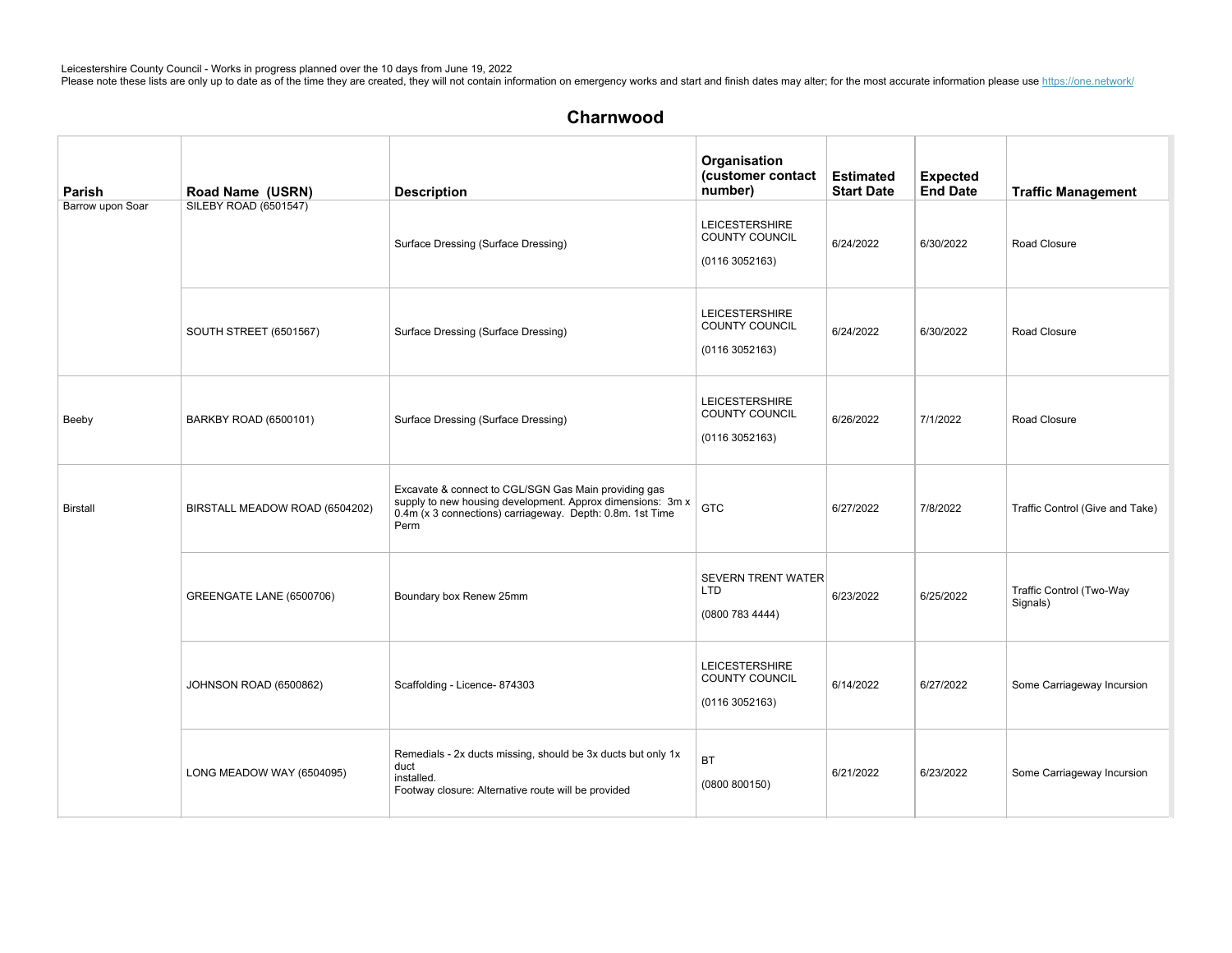| Parish           | Road Name (USRN)               | <b>Description</b>                                                                                                                                                                      | Organisation<br>(customer contact<br>number)                     | <b>Estimated</b><br><b>Start Date</b> | <b>Expected</b><br><b>End Date</b> | <b>Traffic Management</b>            |
|------------------|--------------------------------|-----------------------------------------------------------------------------------------------------------------------------------------------------------------------------------------|------------------------------------------------------------------|---------------------------------------|------------------------------------|--------------------------------------|
| Barrow upon Soar | SILEBY ROAD (6501547)          | Surface Dressing (Surface Dressing)                                                                                                                                                     | <b>LEICESTERSHIRE</b><br><b>COUNTY COUNCIL</b><br>(01163052163)  | 6/24/2022                             | 6/30/2022                          | Road Closure                         |
|                  | <b>SOUTH STREET (6501567)</b>  | Surface Dressing (Surface Dressing)                                                                                                                                                     | <b>LEICESTERSHIRE</b><br>COUNTY COUNCIL<br>(0116 3052163)        | 6/24/2022                             | 6/30/2022                          | Road Closure                         |
| Beeby            | BARKBY ROAD (6500101)          | Surface Dressing (Surface Dressing)                                                                                                                                                     | <b>LEICESTERSHIRE</b><br>COUNTY COUNCIL<br>(0116 3052163)        | 6/26/2022                             | 7/1/2022                           | Road Closure                         |
| <b>Birstall</b>  | BIRSTALL MEADOW ROAD (6504202) | Excavate & connect to CGL/SGN Gas Main providing gas<br>supply to new housing development. Approx dimensions: 3m x<br>0.4m (x 3 connections) carriageway. Depth: 0.8m. 1st Time<br>Perm | <b>GTC</b>                                                       | 6/27/2022                             | 7/8/2022                           | Traffic Control (Give and Take)      |
|                  | GREENGATE LANE (6500706)       | Boundary box Renew 25mm                                                                                                                                                                 | <b>SEVERN TRENT WATER</b><br><b>LTD</b><br>(0800 783 4444)       | 6/23/2022                             | 6/25/2022                          | Traffic Control (Two-Way<br>Signals) |
|                  | JOHNSON ROAD (6500862)         | Scaffolding - Licence- 874303                                                                                                                                                           | <b>LEICESTERSHIRE</b><br><b>COUNTY COUNCIL</b><br>(0116 3052163) | 6/14/2022                             | 6/27/2022                          | Some Carriageway Incursion           |
|                  | LONG MEADOW WAY (6504095)      | Remedials - 2x ducts missing, should be 3x ducts but only 1x<br>duct<br>installed.<br>Footway closure: Alternative route will be provided                                               | <b>BT</b><br>(0800 800150)                                       | 6/21/2022                             | 6/23/2022                          | Some Carriageway Incursion           |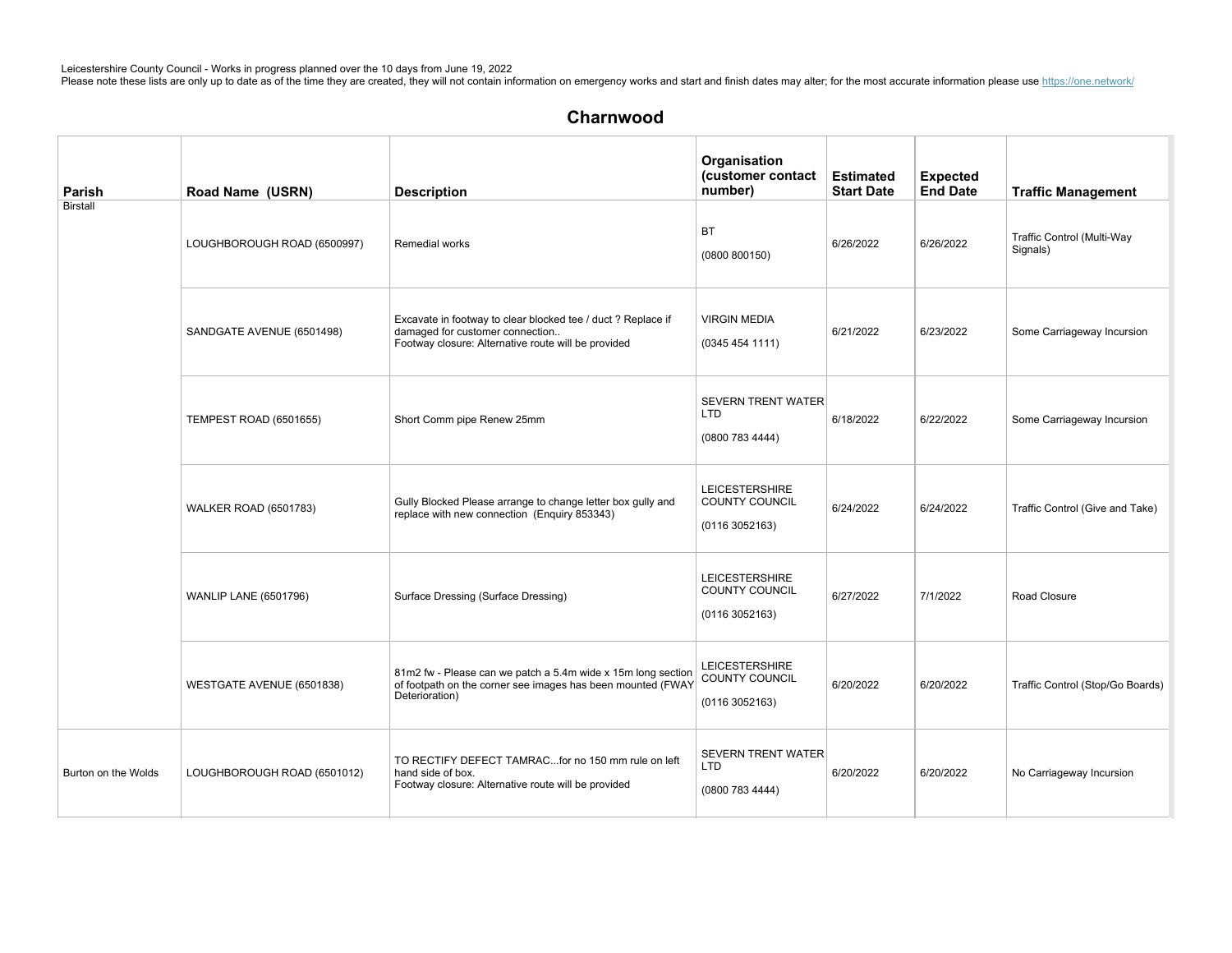| Parish              | Road Name (USRN)             | <b>Description</b>                                                                                                                                     | Organisation<br>(customer contact<br>number)                    | <b>Estimated</b><br><b>Start Date</b> | <b>Expected</b><br><b>End Date</b> | <b>Traffic Management</b>              |
|---------------------|------------------------------|--------------------------------------------------------------------------------------------------------------------------------------------------------|-----------------------------------------------------------------|---------------------------------------|------------------------------------|----------------------------------------|
| <b>Birstall</b>     | LOUGHBOROUGH ROAD (6500997)  | Remedial works                                                                                                                                         | BT<br>(0800 800150)                                             | 6/26/2022                             | 6/26/2022                          | Traffic Control (Multi-Way<br>Signals) |
|                     | SANDGATE AVENUE (6501498)    | Excavate in footway to clear blocked tee / duct ? Replace if<br>damaged for customer connection<br>Footway closure: Alternative route will be provided | <b>VIRGIN MEDIA</b><br>(03454541111)                            | 6/21/2022                             | 6/23/2022                          | Some Carriageway Incursion             |
|                     | TEMPEST ROAD (6501655)       | Short Comm pipe Renew 25mm                                                                                                                             | <b>SEVERN TRENT WATER</b><br>LTD<br>(0800783444)                | 6/18/2022                             | 6/22/2022                          | Some Carriageway Incursion             |
|                     | <b>WALKER ROAD (6501783)</b> | Gully Blocked Please arrange to change letter box gully and<br>replace with new connection (Enquiry 853343)                                            | <b>LEICESTERSHIRE</b><br>COUNTY COUNCIL<br>(01163052163)        | 6/24/2022                             | 6/24/2022                          | Traffic Control (Give and Take)        |
|                     | <b>WANLIP LANE (6501796)</b> | Surface Dressing (Surface Dressing)                                                                                                                    | <b>LEICESTERSHIRE</b><br>COUNTY COUNCIL<br>(0116 3052163)       | 6/27/2022                             | 7/1/2022                           | Road Closure                           |
|                     | WESTGATE AVENUE (6501838)    | 81m2 fw - Please can we patch a 5.4m wide x 15m long section<br>of footpath on the corner see images has been mounted (FWAY<br>Deterioration)          | <b>LEICESTERSHIRE</b><br><b>COUNTY COUNCIL</b><br>(01163052163) | 6/20/2022                             | 6/20/2022                          | Traffic Control (Stop/Go Boards)       |
| Burton on the Wolds | LOUGHBOROUGH ROAD (6501012)  | TO RECTIFY DEFECT TAMRACfor no 150 mm rule on left<br>hand side of box.<br>Footway closure: Alternative route will be provided                         | <b>SEVERN TRENT WATER</b><br>LTD<br>(08007834444)               | 6/20/2022                             | 6/20/2022                          | No Carriageway Incursion               |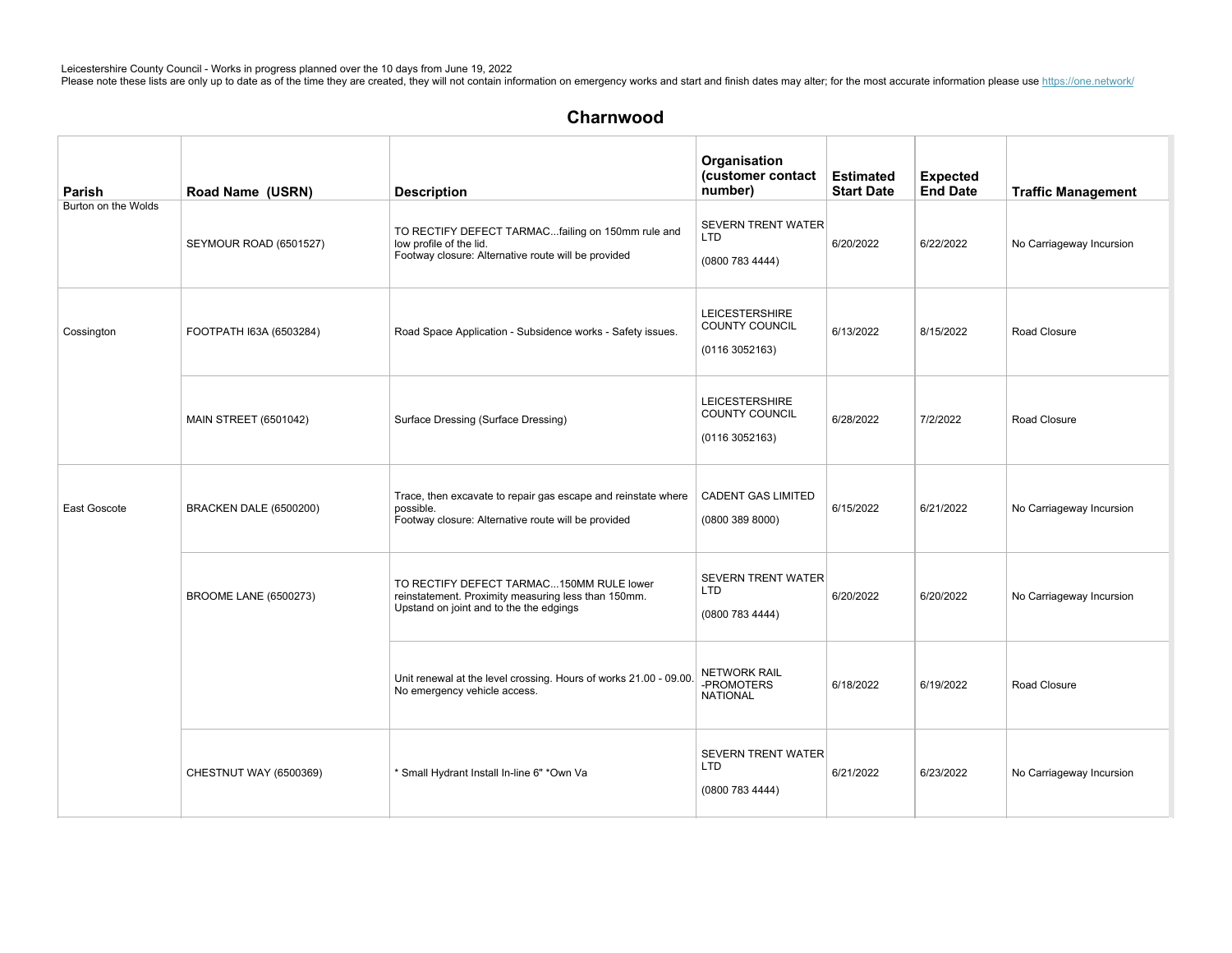| Parish              | Road Name (USRN)             | <b>Description</b>                                                                                                                         | Organisation<br>(customer contact<br>number)               | <b>Estimated</b><br><b>Start Date</b> | <b>Expected</b><br><b>End Date</b> | <b>Traffic Management</b> |
|---------------------|------------------------------|--------------------------------------------------------------------------------------------------------------------------------------------|------------------------------------------------------------|---------------------------------------|------------------------------------|---------------------------|
| Burton on the Wolds | SEYMOUR ROAD (6501527)       | TO RECTIFY DEFECT TARMACfailing on 150mm rule and<br>low profile of the lid.<br>Footway closure: Alternative route will be provided        | <b>SEVERN TRENT WATER</b><br><b>LTD</b><br>(0800 783 4444) | 6/20/2022                             | 6/22/2022                          | No Carriageway Incursion  |
| Cossington          | FOOTPATH I63A (6503284)      | Road Space Application - Subsidence works - Safety issues.                                                                                 | <b>LEICESTERSHIRE</b><br>COUNTY COUNCIL<br>(01163052163)   | 6/13/2022                             | 8/15/2022                          | Road Closure              |
|                     | <b>MAIN STREET (6501042)</b> | Surface Dressing (Surface Dressing)                                                                                                        | <b>LEICESTERSHIRE</b><br>COUNTY COUNCIL<br>(01163052163)   | 6/28/2022                             | 7/2/2022                           | Road Closure              |
| East Goscote        | BRACKEN DALE (6500200)       | Trace, then excavate to repair gas escape and reinstate where<br>possible.<br>Footway closure: Alternative route will be provided          | <b>CADENT GAS LIMITED</b><br>(08003898000)                 | 6/15/2022                             | 6/21/2022                          | No Carriageway Incursion  |
|                     | <b>BROOME LANE (6500273)</b> | TO RECTIFY DEFECT TARMAC150MM RULE lower<br>reinstatement. Proximity measuring less than 150mm.<br>Upstand on joint and to the the edgings | <b>SEVERN TRENT WATER</b><br><b>LTD</b><br>(0800 783 4444) | 6/20/2022                             | 6/20/2022                          | No Carriageway Incursion  |
|                     |                              | Unit renewal at the level crossing. Hours of works 21.00 - 09.00.<br>No emergency vehicle access.                                          | <b>NETWORK RAIL</b><br>-PROMOTERS<br><b>NATIONAL</b>       | 6/18/2022                             | 6/19/2022                          | Road Closure              |
|                     | CHESTNUT WAY (6500369)       | * Small Hydrant Install In-line 6" *Own Va                                                                                                 | <b>SEVERN TRENT WATER</b><br>LTD<br>(0800 783 4444)        | 6/21/2022                             | 6/23/2022                          | No Carriageway Incursion  |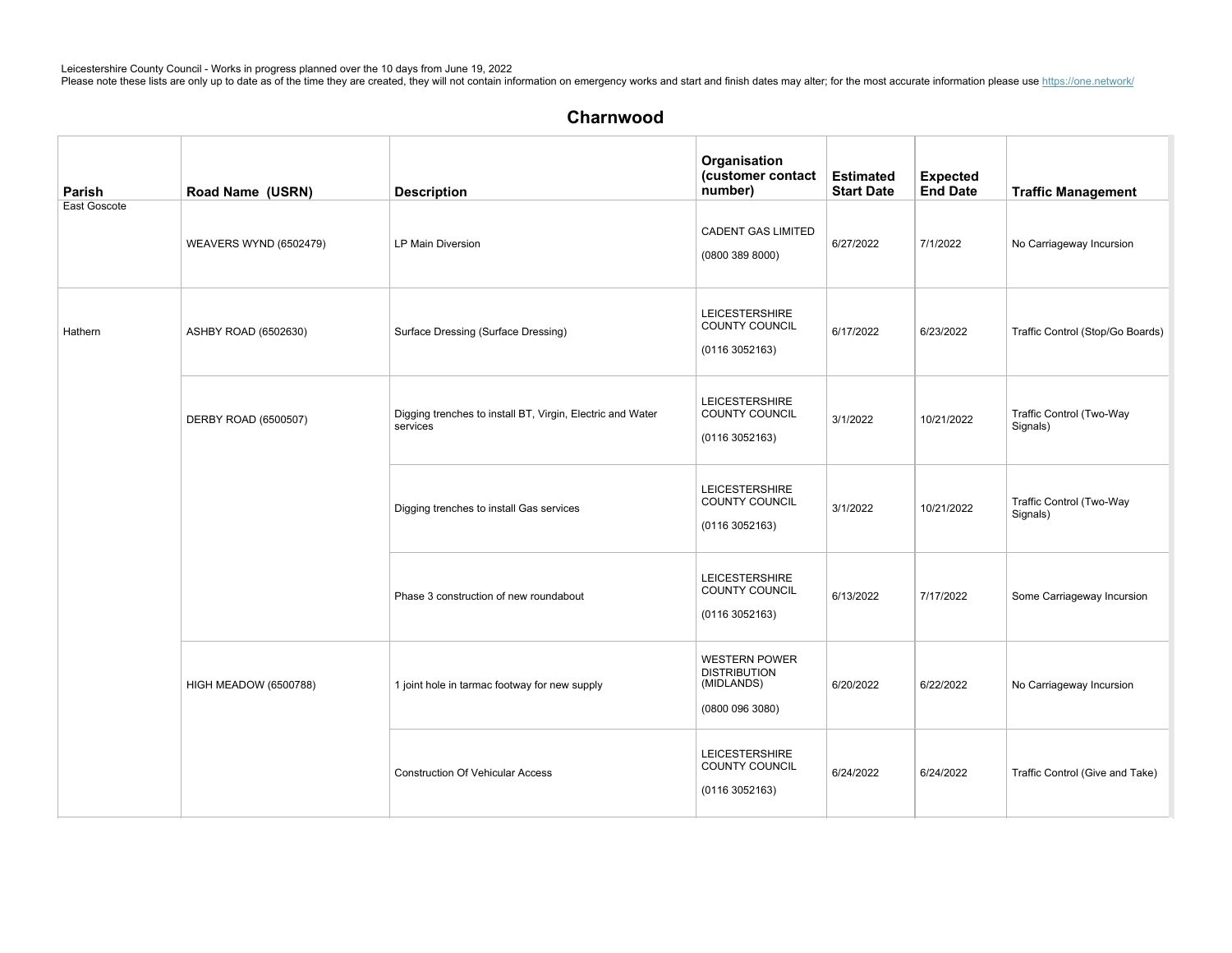| Parish       | Road Name (USRN)       | <b>Description</b>                                                     | Organisation<br>(customer contact<br>number)                                 | <b>Estimated</b><br><b>Start Date</b> | <b>Expected</b><br><b>End Date</b> | <b>Traffic Management</b>            |
|--------------|------------------------|------------------------------------------------------------------------|------------------------------------------------------------------------------|---------------------------------------|------------------------------------|--------------------------------------|
| East Goscote | WEAVERS WYND (6502479) | LP Main Diversion                                                      | <b>CADENT GAS LIMITED</b><br>(08003898000)                                   | 6/27/2022                             | 7/1/2022                           | No Carriageway Incursion             |
| Hathern      | ASHBY ROAD (6502630)   | Surface Dressing (Surface Dressing)                                    | <b>LEICESTERSHIRE</b><br><b>COUNTY COUNCIL</b><br>(01163052163)              | 6/17/2022                             | 6/23/2022                          | Traffic Control (Stop/Go Boards)     |
|              | DERBY ROAD (6500507)   | Digging trenches to install BT, Virgin, Electric and Water<br>services | <b>LEICESTERSHIRE</b><br>COUNTY COUNCIL<br>(0116 3052163)                    | 3/1/2022                              | 10/21/2022                         | Traffic Control (Two-Way<br>Signals) |
|              |                        | Digging trenches to install Gas services                               | <b>LEICESTERSHIRE</b><br><b>COUNTY COUNCIL</b><br>(01163052163)              | 3/1/2022                              | 10/21/2022                         | Traffic Control (Two-Way<br>Signals) |
|              |                        | Phase 3 construction of new roundabout                                 | <b>LEICESTERSHIRE</b><br>COUNTY COUNCIL<br>(01163052163)                     | 6/13/2022                             | 7/17/2022                          | Some Carriageway Incursion           |
|              | HIGH MEADOW (6500788)  | 1 joint hole in tarmac footway for new supply                          | <b>WESTERN POWER</b><br><b>DISTRIBUTION</b><br>(MIDLANDS)<br>(0800 096 3080) | 6/20/2022                             | 6/22/2022                          | No Carriageway Incursion             |
|              |                        | <b>Construction Of Vehicular Access</b>                                | <b>LEICESTERSHIRE</b><br>COUNTY COUNCIL<br>(01163052163)                     | 6/24/2022                             | 6/24/2022                          | Traffic Control (Give and Take)      |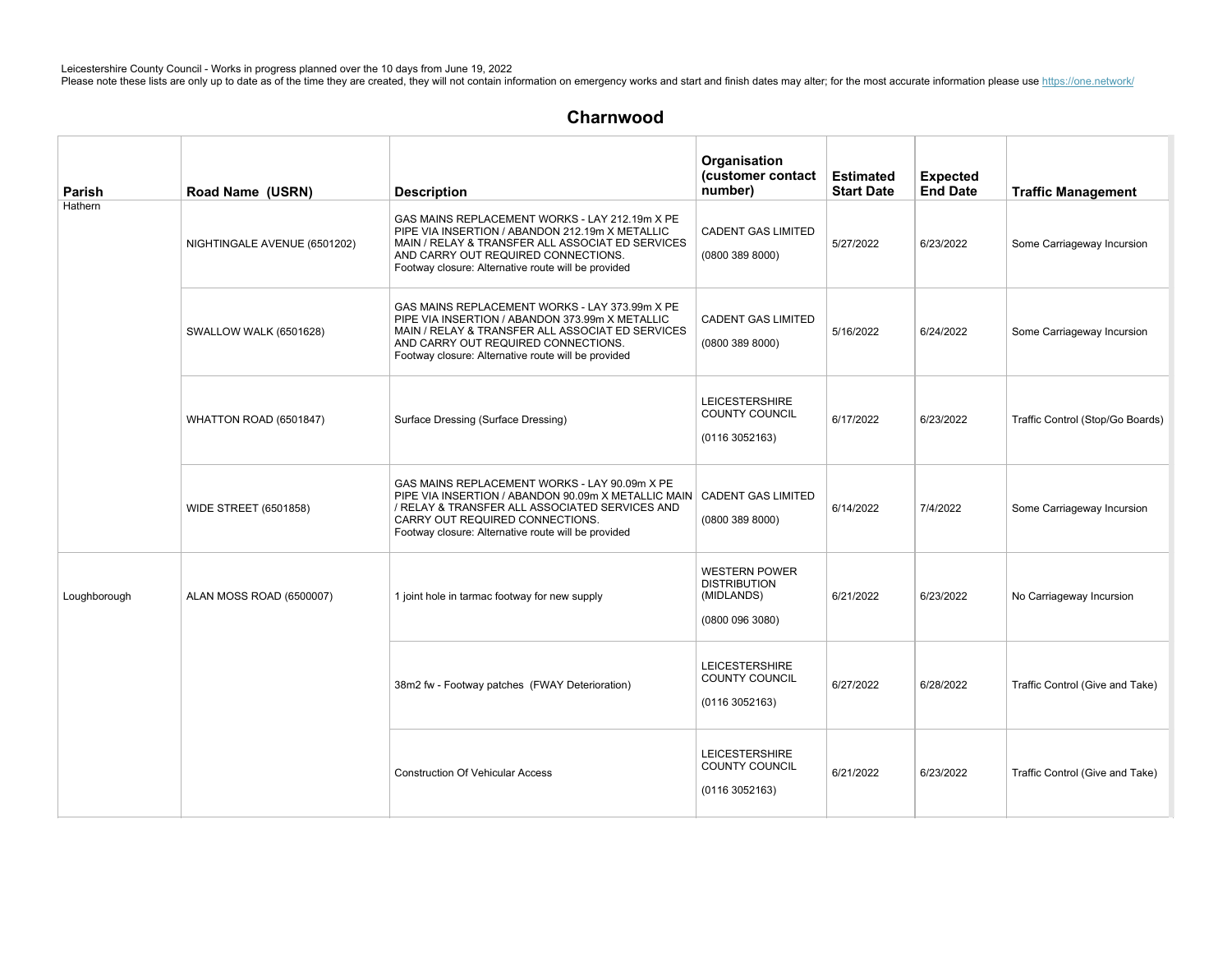| Parish       | Road Name (USRN)             | <b>Description</b>                                                                                                                                                                                                                                                    | Organisation<br>(customer contact<br>number)                               | <b>Estimated</b><br><b>Start Date</b> | <b>Expected</b><br><b>End Date</b> | <b>Traffic Management</b>        |
|--------------|------------------------------|-----------------------------------------------------------------------------------------------------------------------------------------------------------------------------------------------------------------------------------------------------------------------|----------------------------------------------------------------------------|---------------------------------------|------------------------------------|----------------------------------|
| Hathern      | NIGHTINGALE AVENUE (6501202) | GAS MAINS REPLACEMENT WORKS - LAY 212.19m X PE<br>PIPE VIA INSERTION / ABANDON 212.19m X METALLIC<br>MAIN / RELAY & TRANSFER ALL ASSOCIAT ED SERVICES<br>AND CARRY OUT REQUIRED CONNECTIONS.<br>Footway closure: Alternative route will be provided                   | <b>CADENT GAS LIMITED</b><br>(08003898000)                                 | 5/27/2022                             | 6/23/2022                          | Some Carriageway Incursion       |
|              | SWALLOW WALK (6501628)       | GAS MAINS REPLACEMENT WORKS - LAY 373.99m X PE<br>PIPE VIA INSERTION / ABANDON 373.99m X METALLIC<br>MAIN / RELAY & TRANSFER ALL ASSOCIAT ED SERVICES<br>AND CARRY OUT REQUIRED CONNECTIONS.<br>Footway closure: Alternative route will be provided                   | <b>CADENT GAS LIMITED</b><br>(0800 389 8000)                               | 5/16/2022                             | 6/24/2022                          | Some Carriageway Incursion       |
|              | WHATTON ROAD (6501847)       | Surface Dressing (Surface Dressing)                                                                                                                                                                                                                                   | <b>LEICESTERSHIRE</b><br>COUNTY COUNCIL<br>(01163052163)                   | 6/17/2022                             | 6/23/2022                          | Traffic Control (Stop/Go Boards) |
|              | <b>WIDE STREET (6501858)</b> | GAS MAINS REPLACEMENT WORKS - LAY 90.09m X PE<br>PIPE VIA INSERTION / ABANDON 90.09m X METALLIC MAIN   CADENT GAS LIMITED<br>/ RELAY & TRANSFER ALL ASSOCIATED SERVICES AND<br>CARRY OUT REQUIRED CONNECTIONS.<br>Footway closure: Alternative route will be provided | (08003898000)                                                              | 6/14/2022                             | 7/4/2022                           | Some Carriageway Incursion       |
| Loughborough | ALAN MOSS ROAD (6500007)     | 1 joint hole in tarmac footway for new supply                                                                                                                                                                                                                         | <b>WESTERN POWER</b><br><b>DISTRIBUTION</b><br>(MIDLANDS)<br>(08000963080) | 6/21/2022                             | 6/23/2022                          | No Carriageway Incursion         |
|              |                              | 38m2 fw - Footway patches (FWAY Deterioration)                                                                                                                                                                                                                        | <b>LEICESTERSHIRE</b><br>COUNTY COUNCIL<br>(0116 3052163)                  | 6/27/2022                             | 6/28/2022                          | Traffic Control (Give and Take)  |
|              |                              | <b>Construction Of Vehicular Access</b>                                                                                                                                                                                                                               | <b>LEICESTERSHIRE</b><br>COUNTY COUNCIL<br>(01163052163)                   | 6/21/2022                             | 6/23/2022                          | Traffic Control (Give and Take)  |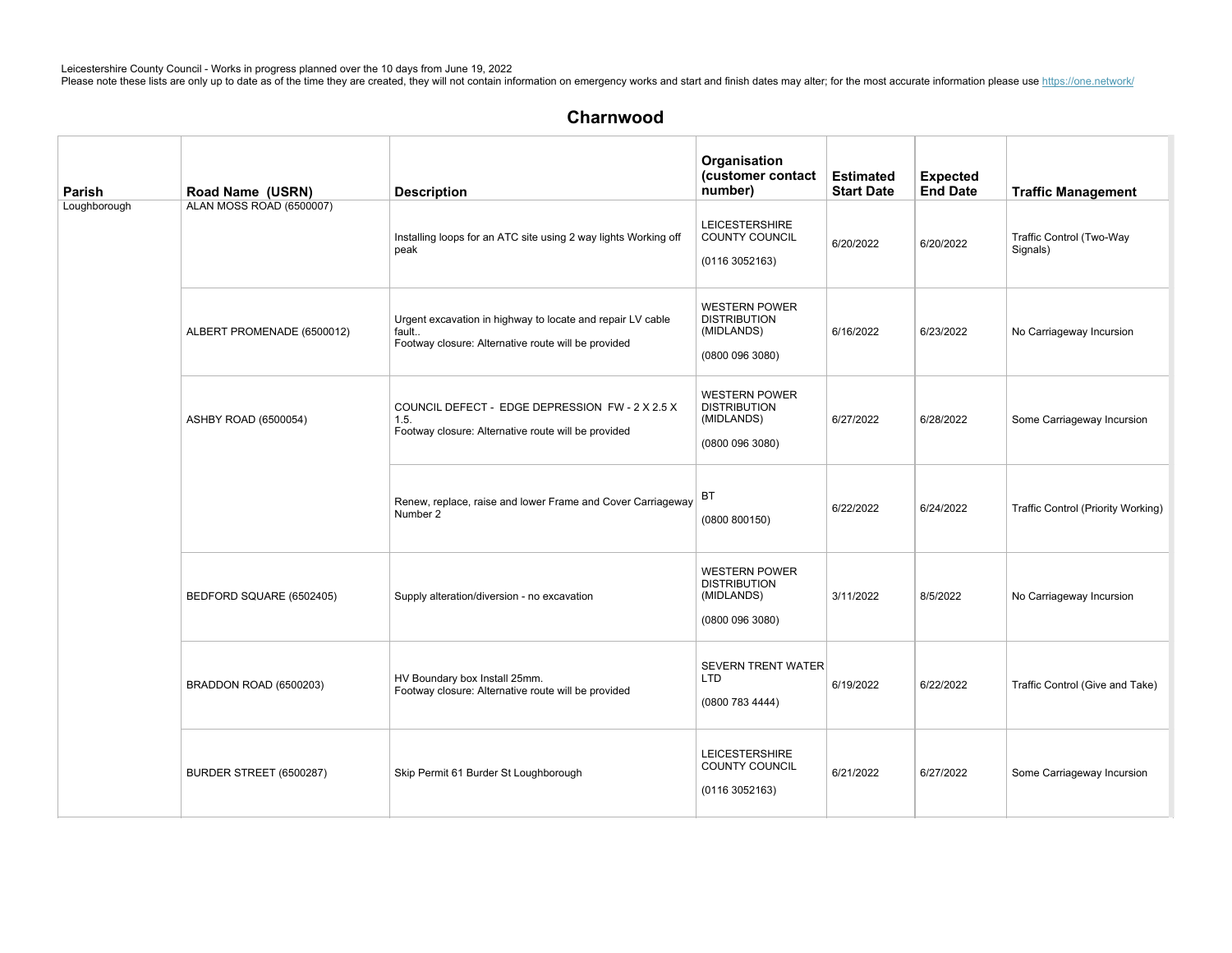| Parish       | Road Name (USRN)           | <b>Description</b>                                                                                                         | Organisation<br>(customer contact<br>number)                                 | <b>Estimated</b><br><b>Start Date</b> | <b>Expected</b><br><b>End Date</b> | <b>Traffic Management</b>            |
|--------------|----------------------------|----------------------------------------------------------------------------------------------------------------------------|------------------------------------------------------------------------------|---------------------------------------|------------------------------------|--------------------------------------|
| Loughborough | ALAN MOSS ROAD (6500007)   | Installing loops for an ATC site using 2 way lights Working off<br>peak                                                    | <b>LEICESTERSHIRE</b><br>COUNTY COUNCIL<br>(01163052163)                     | 6/20/2022                             | 6/20/2022                          | Traffic Control (Two-Way<br>Signals) |
|              | ALBERT PROMENADE (6500012) | Urgent excavation in highway to locate and repair LV cable<br>fault<br>Footway closure: Alternative route will be provided | <b>WESTERN POWER</b><br><b>DISTRIBUTION</b><br>(MIDLANDS)<br>(0800 096 3080) | 6/16/2022                             | 6/23/2022                          | No Carriageway Incursion             |
|              | ASHBY ROAD (6500054)       | COUNCIL DEFECT - EDGE DEPRESSION FW - 2 X 2.5 X<br>1.5.<br>Footway closure: Alternative route will be provided             | <b>WESTERN POWER</b><br><b>DISTRIBUTION</b><br>(MIDLANDS)<br>(0800 096 3080) | 6/27/2022                             | 6/28/2022                          | Some Carriageway Incursion           |
|              |                            | Renew, replace, raise and lower Frame and Cover Carriageway<br>Number 2                                                    | BT<br>(0800 800150)                                                          | 6/22/2022                             | 6/24/2022                          | Traffic Control (Priority Working)   |
|              | BEDFORD SQUARE (6502405)   | Supply alteration/diversion - no excavation                                                                                | <b>WESTERN POWER</b><br><b>DISTRIBUTION</b><br>(MIDLANDS)<br>(0800 096 3080) | 3/11/2022                             | 8/5/2022                           | No Carriageway Incursion             |
|              | BRADDON ROAD (6500203)     | HV Boundary box Install 25mm.<br>Footway closure: Alternative route will be provided                                       | <b>SEVERN TRENT WATER</b><br><b>LTD</b><br>(0800 783 4444)                   | 6/19/2022                             | 6/22/2022                          | Traffic Control (Give and Take)      |
|              | BURDER STREET (6500287)    | Skip Permit 61 Burder St Loughborough                                                                                      | <b>LEICESTERSHIRE</b><br>COUNTY COUNCIL<br>(01163052163)                     | 6/21/2022                             | 6/27/2022                          | Some Carriageway Incursion           |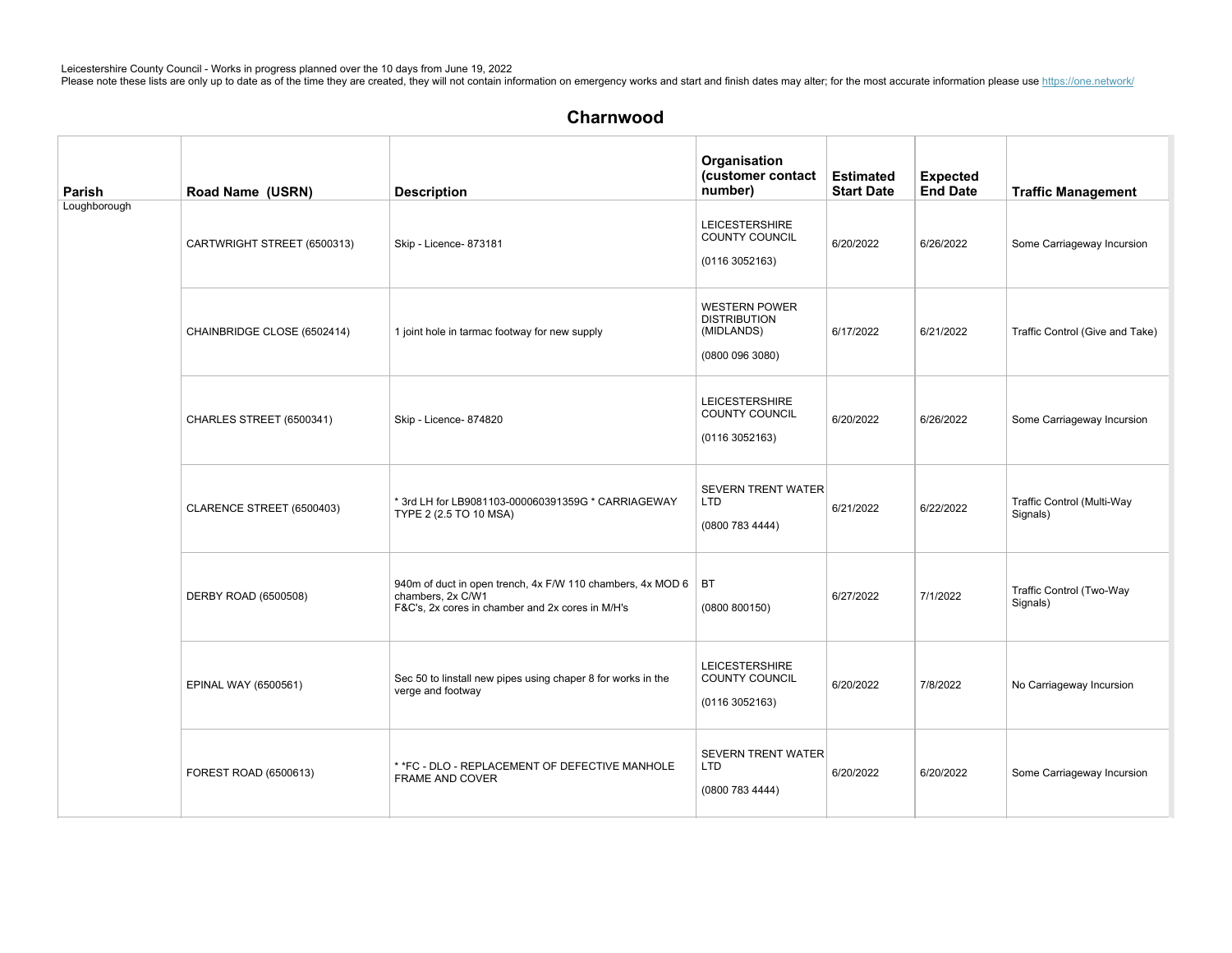| Parish       | Road Name (USRN)            | <b>Description</b>                                                                                                                  | Organisation<br>(customer contact<br>number)                                 | <b>Estimated</b><br><b>Start Date</b> | <b>Expected</b><br><b>End Date</b> | <b>Traffic Management</b>              |
|--------------|-----------------------------|-------------------------------------------------------------------------------------------------------------------------------------|------------------------------------------------------------------------------|---------------------------------------|------------------------------------|----------------------------------------|
| Loughborough | CARTWRIGHT STREET (6500313) | Skip - Licence- 873181                                                                                                              | <b>LEICESTERSHIRE</b><br><b>COUNTY COUNCIL</b><br>(01163052163)              | 6/20/2022                             | 6/26/2022                          | Some Carriageway Incursion             |
|              | CHAINBRIDGE CLOSE (6502414) | 1 joint hole in tarmac footway for new supply                                                                                       | <b>WESTERN POWER</b><br><b>DISTRIBUTION</b><br>(MIDLANDS)<br>(0800 096 3080) | 6/17/2022                             | 6/21/2022                          | Traffic Control (Give and Take)        |
|              | CHARLES STREET (6500341)    | Skip - Licence- 874820                                                                                                              | <b>LEICESTERSHIRE</b><br><b>COUNTY COUNCIL</b><br>(01163052163)              | 6/20/2022                             | 6/26/2022                          | Some Carriageway Incursion             |
|              | CLARENCE STREET (6500403)   | * 3rd LH for LB9081103-000060391359G * CARRIAGEWAY<br>TYPE 2 (2.5 TO 10 MSA)                                                        | <b>SEVERN TRENT WATER</b><br><b>LTD</b><br>(0800 783 4444)                   | 6/21/2022                             | 6/22/2022                          | Traffic Control (Multi-Way<br>Signals) |
|              | DERBY ROAD (6500508)        | 940m of duct in open trench, 4x F/W 110 chambers, 4x MOD 6<br>chambers, 2x C/W1<br>F&C's, 2x cores in chamber and 2x cores in M/H's | BT<br>(0800 800150)                                                          | 6/27/2022                             | 7/1/2022                           | Traffic Control (Two-Way<br>Signals)   |
|              | EPINAL WAY (6500561)        | Sec 50 to linstall new pipes using chaper 8 for works in the<br>verge and footway                                                   | <b>LEICESTERSHIRE</b><br>COUNTY COUNCIL<br>(01163052163)                     | 6/20/2022                             | 7/8/2022                           | No Carriageway Incursion               |
|              | FOREST ROAD (6500613)       | * *FC - DLO - REPLACEMENT OF DEFECTIVE MANHOLE<br>FRAME AND COVER                                                                   | SEVERN TRENT WATER<br><b>LTD</b><br>(0800 783 4444)                          | 6/20/2022                             | 6/20/2022                          | Some Carriageway Incursion             |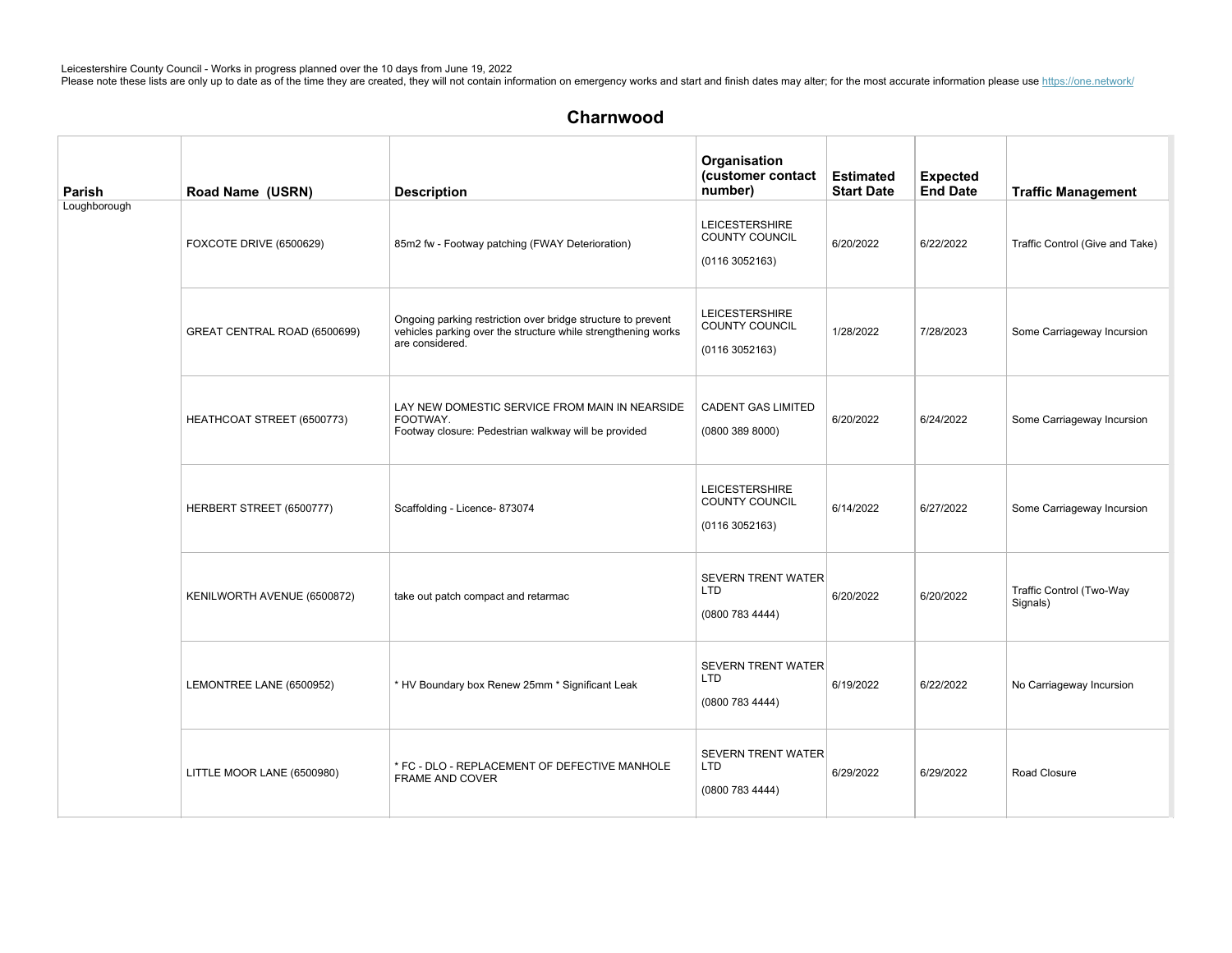# Charnwood

| Parish       | Road Name (USRN)             | <b>Description</b>                                                                                                                               | Organisation<br>(customer contact<br>number)                     | <b>Estimated</b><br><b>Start Date</b> | <b>Expected</b><br><b>End Date</b> | <b>Traffic Management</b>            |
|--------------|------------------------------|--------------------------------------------------------------------------------------------------------------------------------------------------|------------------------------------------------------------------|---------------------------------------|------------------------------------|--------------------------------------|
| Loughborough | FOXCOTE DRIVE (6500629)      | 85m2 fw - Footway patching (FWAY Deterioration)                                                                                                  | <b>LEICESTERSHIRE</b><br><b>COUNTY COUNCIL</b><br>(0116 3052163) | 6/20/2022                             | 6/22/2022                          | Traffic Control (Give and Take)      |
|              | GREAT CENTRAL ROAD (6500699) | Ongoing parking restriction over bridge structure to prevent<br>vehicles parking over the structure while strengthening works<br>are considered. | <b>LEICESTERSHIRE</b><br>COUNTY COUNCIL<br>(0116 3052163)        | 1/28/2022                             | 7/28/2023                          | Some Carriageway Incursion           |
|              | HEATHCOAT STREET (6500773)   | LAY NEW DOMESTIC SERVICE FROM MAIN IN NEARSIDE<br>FOOTWAY.<br>Footway closure: Pedestrian walkway will be provided                               | <b>CADENT GAS LIMITED</b><br>(08003898000)                       | 6/20/2022                             | 6/24/2022                          | Some Carriageway Incursion           |
|              | HERBERT STREET (6500777)     | Scaffolding - Licence- 873074                                                                                                                    | <b>LEICESTERSHIRE</b><br><b>COUNTY COUNCIL</b><br>(01163052163)  | 6/14/2022                             | 6/27/2022                          | Some Carriageway Incursion           |
|              | KENILWORTH AVENUE (6500872)  | take out patch compact and retarmac                                                                                                              | <b>SEVERN TRENT WATER</b><br>LTD<br>(0800 783 4444)              | 6/20/2022                             | 6/20/2022                          | Traffic Control (Two-Way<br>Signals) |
|              | LEMONTREE LANE (6500952)     | * HV Boundary box Renew 25mm * Significant Leak                                                                                                  | <b>SEVERN TRENT WATER</b><br><b>LTD</b><br>(0800 783 4444)       | 6/19/2022                             | 6/22/2022                          | No Carriageway Incursion             |
|              | LITTLE MOOR LANE (6500980)   | * FC - DLO - REPLACEMENT OF DEFECTIVE MANHOLE<br><b>FRAME AND COVER</b>                                                                          | <b>SEVERN TRENT WATER</b><br>LTD<br>(0800 783 4444)              | 6/29/2022                             | 6/29/2022                          | Road Closure                         |

T-MOBILE(UK)LIMITED 6/24/2022 6/24/2022  $\mathcal{U}(\mathcal{U})$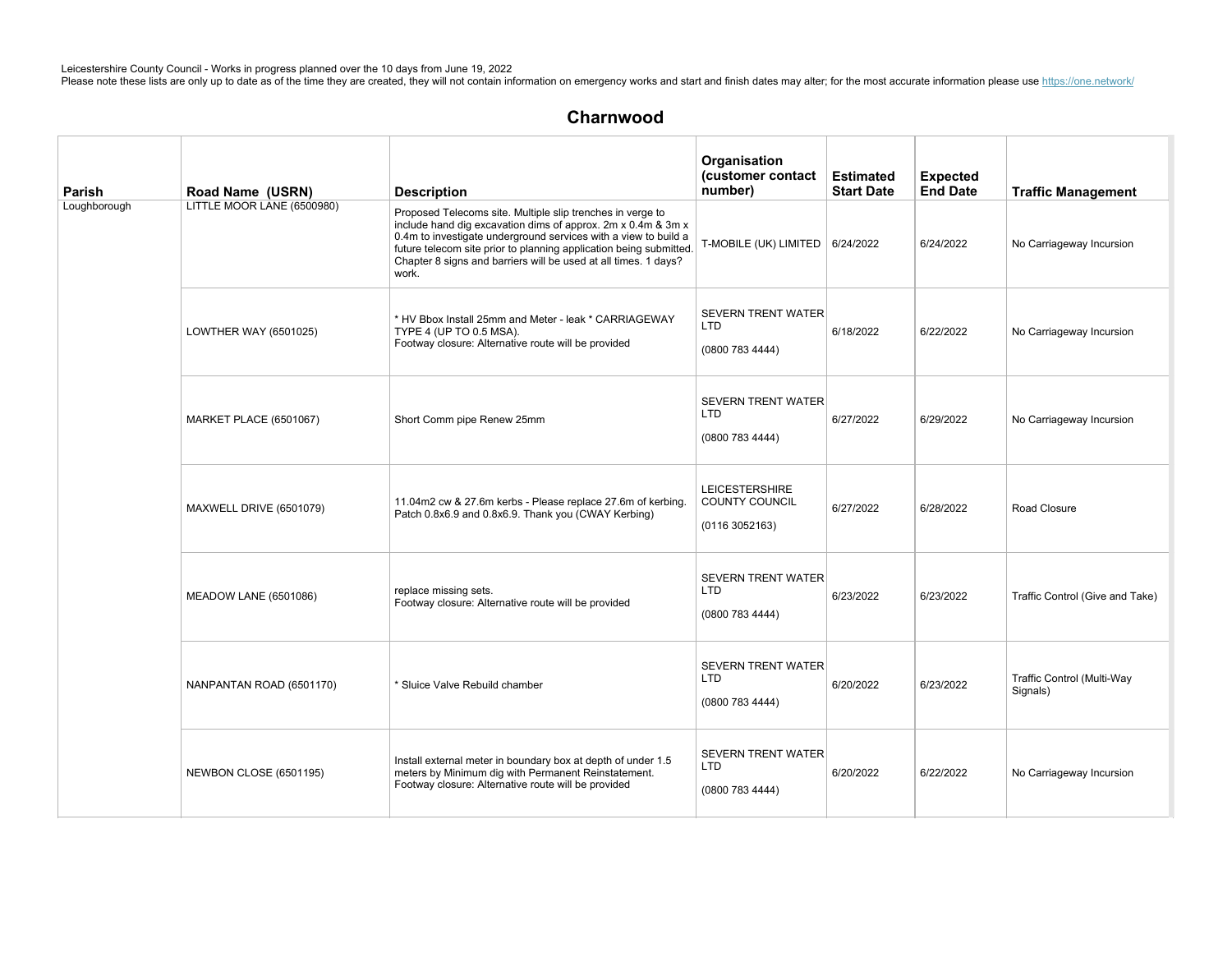| Parish       | Road Name (USRN)              | <b>Description</b>                                                                                                                                                                                                                                                                                                                              | Organisation<br>(customer contact<br>number)               | <b>Estimated</b><br><b>Start Date</b> | <b>Expected</b><br><b>End Date</b> | <b>Traffic Management</b>              |
|--------------|-------------------------------|-------------------------------------------------------------------------------------------------------------------------------------------------------------------------------------------------------------------------------------------------------------------------------------------------------------------------------------------------|------------------------------------------------------------|---------------------------------------|------------------------------------|----------------------------------------|
| Loughborough | LITTLE MOOR LANE (6500980)    | Proposed Telecoms site. Multiple slip trenches in verge to<br>include hand dig excavation dims of approx. 2m x 0.4m & 3m x<br>0.4m to investigate underground services with a view to build a<br>future telecom site prior to planning application being submitted.<br>Chapter 8 signs and barriers will be used at all times. 1 days?<br>work. | T-MOBILE (UK) LIMITED   6/24/2022                          |                                       | 6/24/2022                          | No Carriageway Incursion               |
|              | LOWTHER WAY (6501025)         | * HV Bbox Install 25mm and Meter - leak * CARRIAGEWAY<br>TYPE 4 (UP TO 0.5 MSA).<br>Footway closure: Alternative route will be provided                                                                                                                                                                                                         | <b>SEVERN TRENT WATER</b><br><b>LTD</b><br>(0800 783 4444) | 6/18/2022                             | 6/22/2022                          | No Carriageway Incursion               |
|              | <b>MARKET PLACE (6501067)</b> | Short Comm pipe Renew 25mm                                                                                                                                                                                                                                                                                                                      | <b>SEVERN TRENT WATER</b><br><b>LTD</b><br>(0800 783 4444) | 6/27/2022                             | 6/29/2022                          | No Carriageway Incursion               |
|              | MAXWELL DRIVE (6501079)       | 11.04m2 cw & 27.6m kerbs - Please replace 27.6m of kerbing.<br>Patch 0.8x6.9 and 0.8x6.9. Thank you (CWAY Kerbing)                                                                                                                                                                                                                              | <b>LEICESTERSHIRE</b><br>COUNTY COUNCIL<br>(01163052163)   | 6/27/2022                             | 6/28/2022                          | Road Closure                           |
|              | <b>MEADOW LANE (6501086)</b>  | replace missing sets.<br>Footway closure: Alternative route will be provided                                                                                                                                                                                                                                                                    | <b>SEVERN TRENT WATER</b><br><b>LTD</b><br>(0800 783 4444) | 6/23/2022                             | 6/23/2022                          | Traffic Control (Give and Take)        |
|              | NANPANTAN ROAD (6501170)      | * Sluice Valve Rebuild chamber                                                                                                                                                                                                                                                                                                                  | <b>SEVERN TRENT WATER</b><br><b>LTD</b><br>(0800 783 4444) | 6/20/2022                             | 6/23/2022                          | Traffic Control (Multi-Way<br>Signals) |
|              | NEWBON CLOSE (6501195)        | Install external meter in boundary box at depth of under 1.5<br>meters by Minimum dig with Permanent Reinstatement.<br>Footway closure: Alternative route will be provided                                                                                                                                                                      | <b>SEVERN TRENT WATER</b><br><b>LTD</b><br>(0800 783 4444) | 6/20/2022                             | 6/22/2022                          | No Carriageway Incursion               |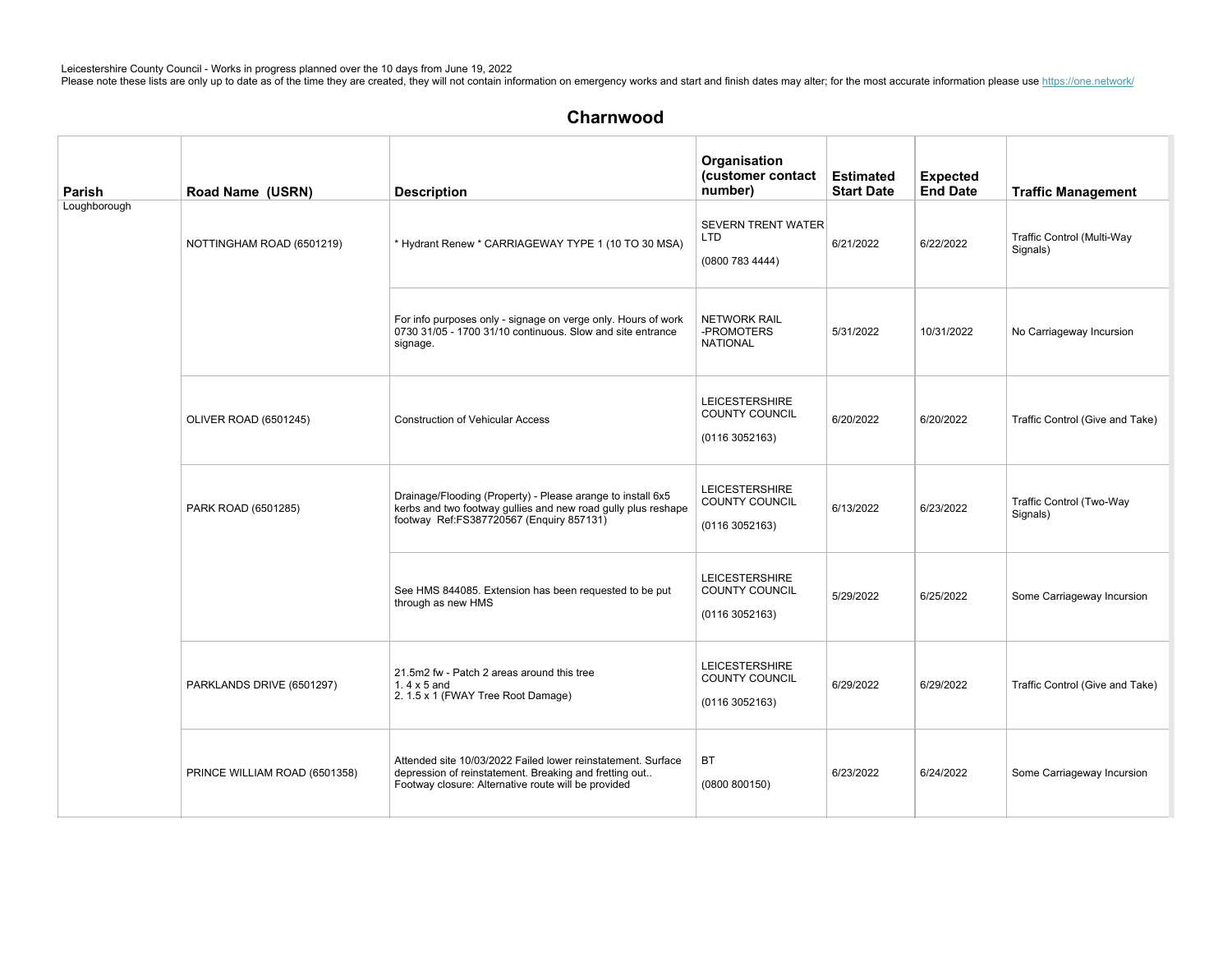| Parish       | Road Name (USRN)              | <b>Description</b>                                                                                                                                                            | Organisation<br>(customer contact<br>number)                     | <b>Estimated</b><br><b>Start Date</b> | <b>Expected</b><br><b>End Date</b> | <b>Traffic Management</b>              |
|--------------|-------------------------------|-------------------------------------------------------------------------------------------------------------------------------------------------------------------------------|------------------------------------------------------------------|---------------------------------------|------------------------------------|----------------------------------------|
| Loughborough | NOTTINGHAM ROAD (6501219)     | * Hydrant Renew * CARRIAGEWAY TYPE 1 (10 TO 30 MSA)                                                                                                                           | <b>SEVERN TRENT WATER</b><br><b>LTD</b><br>(0800 783 4444)       | 6/21/2022                             | 6/22/2022                          | Traffic Control (Multi-Way<br>Signals) |
|              |                               | For info purposes only - signage on verge only. Hours of work<br>0730 31/05 - 1700 31/10 continuous. Slow and site entrance<br>signage.                                       | <b>NETWORK RAIL</b><br>-PROMOTERS<br><b>NATIONAL</b>             | 5/31/2022                             | 10/31/2022                         | No Carriageway Incursion               |
|              | OLIVER ROAD (6501245)         | <b>Construction of Vehicular Access</b>                                                                                                                                       | <b>LEICESTERSHIRE</b><br><b>COUNTY COUNCIL</b><br>(01163052163)  | 6/20/2022                             | 6/20/2022                          | Traffic Control (Give and Take)        |
|              | PARK ROAD (6501285)           | Drainage/Flooding (Property) - Please arange to install 6x5<br>kerbs and two footway gullies and new road gully plus reshape<br>footway Ref:FS387720567 (Enquiry 857131)      | <b>LEICESTERSHIRE</b><br>COUNTY COUNCIL<br>(0116 3052163)        | 6/13/2022                             | 6/23/2022                          | Traffic Control (Two-Way<br>Signals)   |
|              |                               | See HMS 844085. Extension has been requested to be put<br>through as new HMS                                                                                                  | <b>LEICESTERSHIRE</b><br>COUNTY COUNCIL<br>(0116 3052163)        | 5/29/2022                             | 6/25/2022                          | Some Carriageway Incursion             |
|              | PARKLANDS DRIVE (6501297)     | 21.5m2 fw - Patch 2 areas around this tree<br>1.4 $\times$ 5 and<br>2. 1.5 x 1 (FWAY Tree Root Damage)                                                                        | <b>LEICESTERSHIRE</b><br><b>COUNTY COUNCIL</b><br>(0116 3052163) | 6/29/2022                             | 6/29/2022                          | Traffic Control (Give and Take)        |
|              | PRINCE WILLIAM ROAD (6501358) | Attended site 10/03/2022 Failed lower reinstatement. Surface<br>depression of reinstatement. Breaking and fretting out<br>Footway closure: Alternative route will be provided | <b>BT</b><br>(0800 800150)                                       | 6/23/2022                             | 6/24/2022                          | Some Carriageway Incursion             |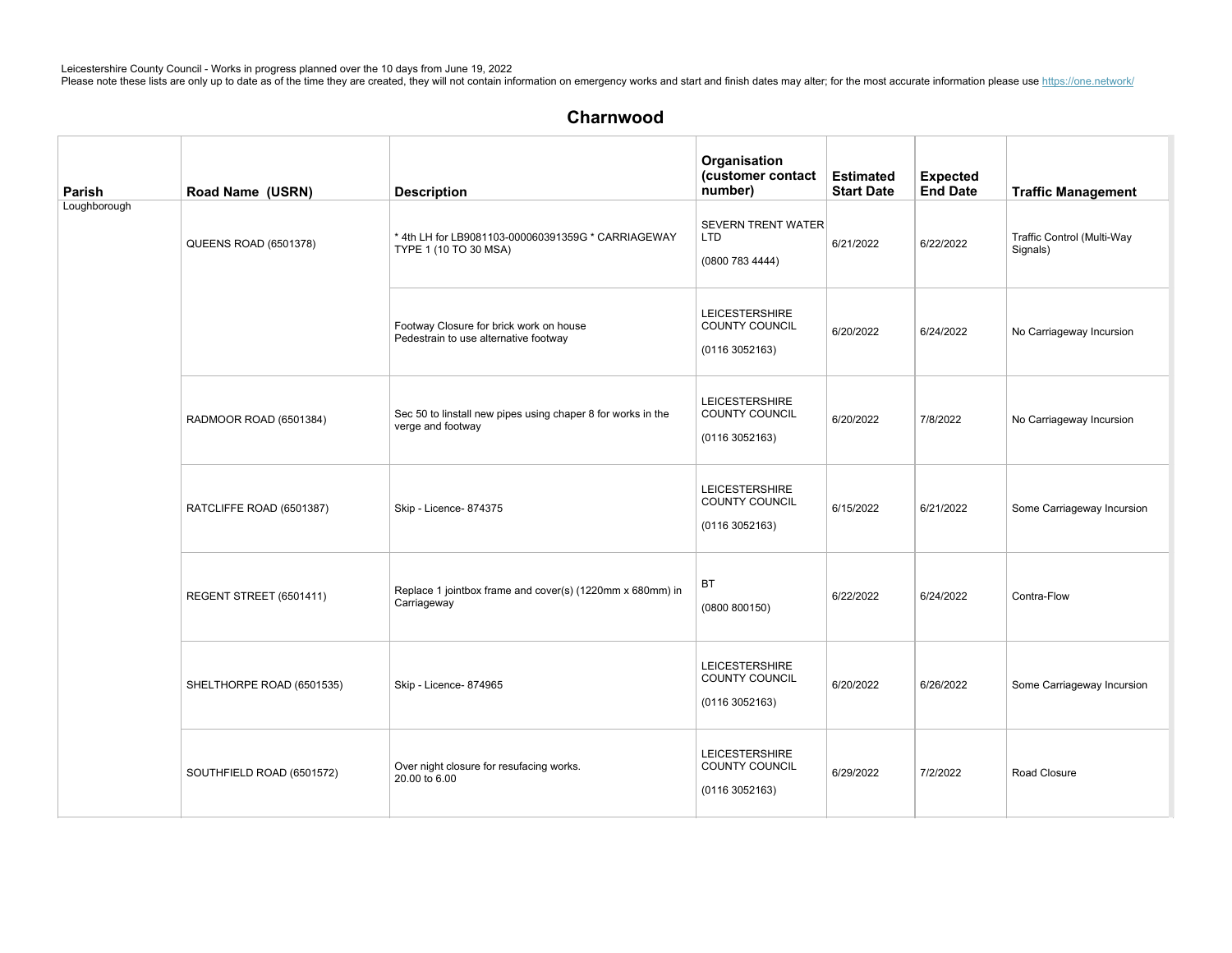| Parish       | Road Name (USRN)          | <b>Description</b>                                                                | Organisation<br>(customer contact<br>number)                    | <b>Estimated</b><br><b>Start Date</b> | <b>Expected</b><br><b>End Date</b> | <b>Traffic Management</b>              |
|--------------|---------------------------|-----------------------------------------------------------------------------------|-----------------------------------------------------------------|---------------------------------------|------------------------------------|----------------------------------------|
| Loughborough | QUEENS ROAD (6501378)     | * 4th LH for LB9081103-000060391359G * CARRIAGEWAY<br>TYPE 1 (10 TO 30 MSA)       | <b>SEVERN TRENT WATER</b><br><b>LTD</b><br>(0800 783 4444)      | 6/21/2022                             | 6/22/2022                          | Traffic Control (Multi-Way<br>Signals) |
|              |                           | Footway Closure for brick work on house<br>Pedestrain to use alternative footway  | <b>LEICESTERSHIRE</b><br><b>COUNTY COUNCIL</b><br>(01163052163) | 6/20/2022                             | 6/24/2022                          | No Carriageway Incursion               |
|              | RADMOOR ROAD (6501384)    | Sec 50 to linstall new pipes using chaper 8 for works in the<br>verge and footway | <b>LEICESTERSHIRE</b><br>COUNTY COUNCIL<br>(01163052163)        | 6/20/2022                             | 7/8/2022                           | No Carriageway Incursion               |
|              | RATCLIFFE ROAD (6501387)  | Skip - Licence- 874375                                                            | <b>LEICESTERSHIRE</b><br>COUNTY COUNCIL<br>(01163052163)        | 6/15/2022                             | 6/21/2022                          | Some Carriageway Incursion             |
|              | REGENT STREET (6501411)   | Replace 1 jointbox frame and cover(s) (1220mm x 680mm) in<br>Carriageway          | BT<br>(0800 800150)                                             | 6/22/2022                             | 6/24/2022                          | Contra-Flow                            |
|              | SHELTHORPE ROAD (6501535) | Skip - Licence- 874965                                                            | <b>LEICESTERSHIRE</b><br>COUNTY COUNCIL<br>(01163052163)        | 6/20/2022                             | 6/26/2022                          | Some Carriageway Incursion             |
|              | SOUTHFIELD ROAD (6501572) | Over night closure for resufacing works.<br>20.00 to 6.00                         | <b>LEICESTERSHIRE</b><br>COUNTY COUNCIL<br>(01163052163)        | 6/29/2022                             | 7/2/2022                           | Road Closure                           |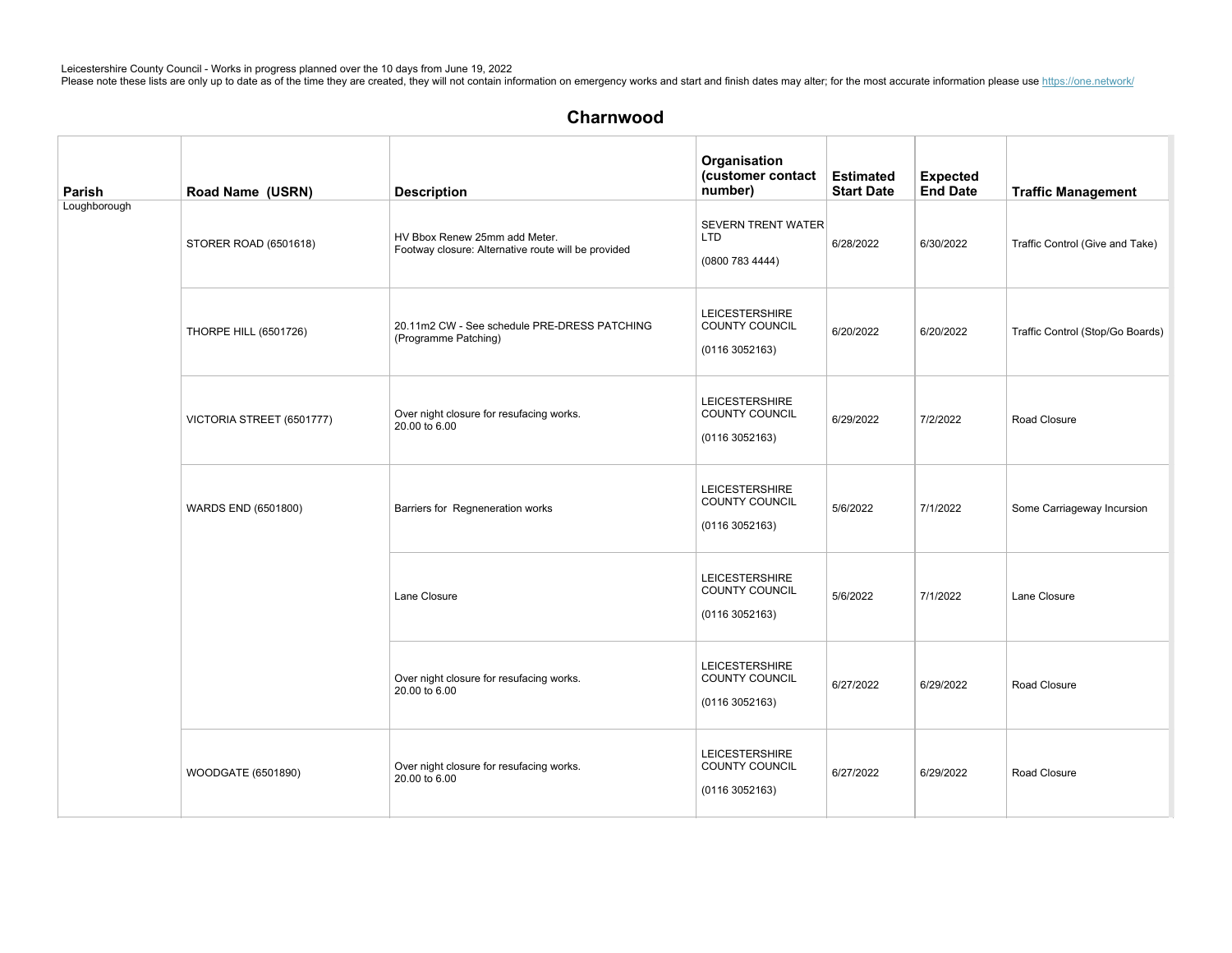| Parish       | Road Name (USRN)             | <b>Description</b>                                                                   | Organisation<br>(customer contact<br>number)               | <b>Estimated</b><br><b>Start Date</b> | <b>Expected</b><br>End Date | <b>Traffic Management</b>        |
|--------------|------------------------------|--------------------------------------------------------------------------------------|------------------------------------------------------------|---------------------------------------|-----------------------------|----------------------------------|
| Loughborough | STORER ROAD (6501618)        | HV Bbox Renew 25mm add Meter.<br>Footway closure: Alternative route will be provided | <b>SEVERN TRENT WATER</b><br><b>LTD</b><br>(0800 783 4444) | 6/28/2022                             | 6/30/2022                   | Traffic Control (Give and Take)  |
|              | <b>THORPE HILL (6501726)</b> | 20.11m2 CW - See schedule PRE-DRESS PATCHING<br>(Programme Patching)                 | <b>LEICESTERSHIRE</b><br>COUNTY COUNCIL<br>(01163052163)   | 6/20/2022                             | 6/20/2022                   | Traffic Control (Stop/Go Boards) |
|              | VICTORIA STREET (6501777)    | Over night closure for resufacing works.<br>20.00 to 6.00                            | <b>LEICESTERSHIRE</b><br>COUNTY COUNCIL<br>(01163052163)   | 6/29/2022                             | 7/2/2022                    | Road Closure                     |
|              | WARDS END (6501800)          | Barriers for Regneneration works                                                     | <b>LEICESTERSHIRE</b><br>COUNTY COUNCIL<br>(01163052163)   | 5/6/2022                              | 7/1/2022                    | Some Carriageway Incursion       |
|              |                              | Lane Closure                                                                         | <b>LEICESTERSHIRE</b><br>COUNTY COUNCIL<br>(01163052163)   | 5/6/2022                              | 7/1/2022                    | Lane Closure                     |
|              |                              | Over night closure for resufacing works.<br>20.00 to 6.00                            | <b>LEICESTERSHIRE</b><br>COUNTY COUNCIL<br>(01163052163)   | 6/27/2022                             | 6/29/2022                   | Road Closure                     |
|              | WOODGATE (6501890)           | Over night closure for resufacing works.<br>20,00 to 6,00                            | <b>LEICESTERSHIRE</b><br>COUNTY COUNCIL<br>(01163052163)   | 6/27/2022                             | 6/29/2022                   | Road Closure                     |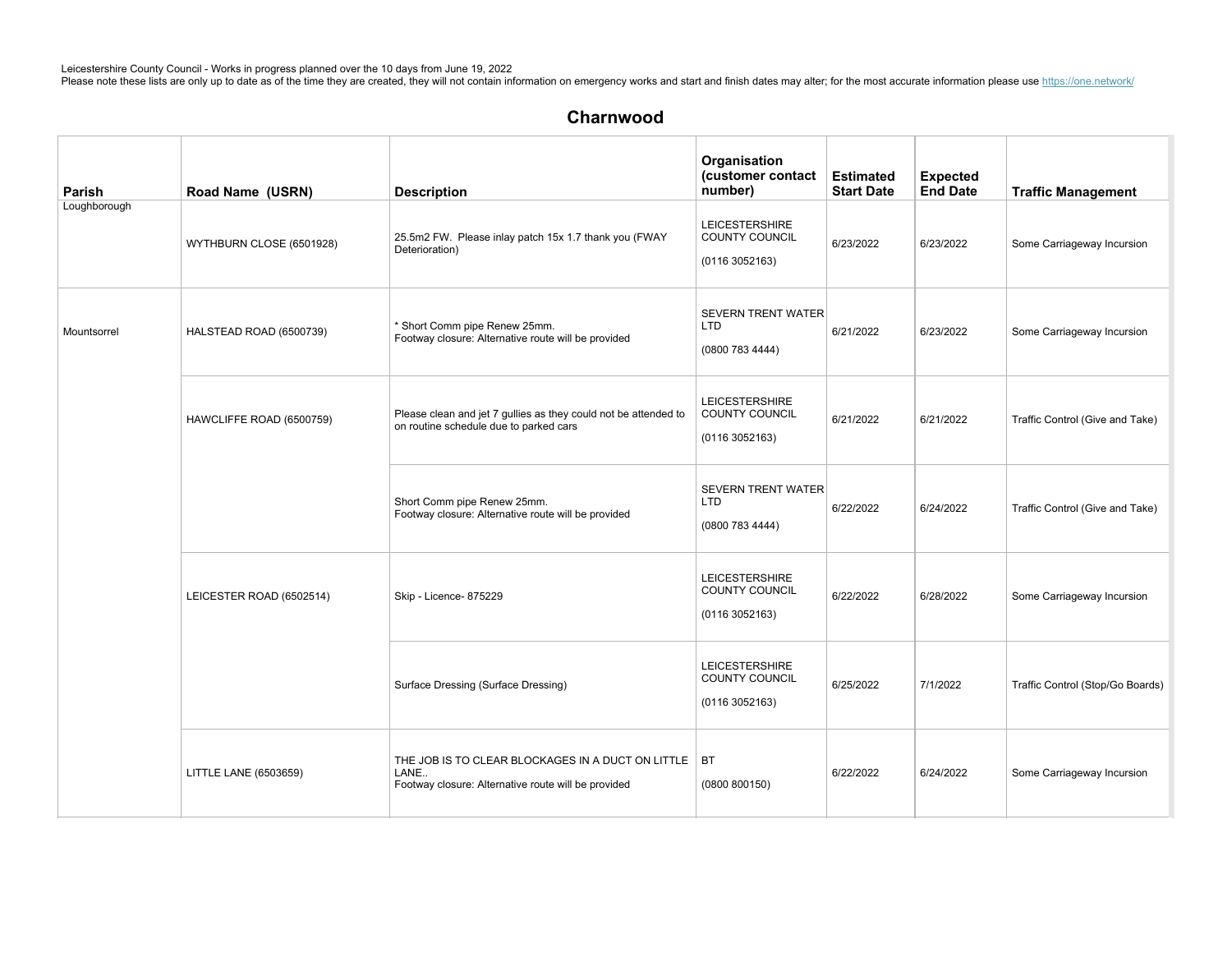# Charnwood

| Parish       | Road Name (USRN)         | <b>Description</b>                                                                                                    | Organisation<br>(customer contact<br>number)                    | <b>Estimated</b><br><b>Start Date</b> | <b>Expected</b><br><b>End Date</b> | <b>Traffic Management</b>        |
|--------------|--------------------------|-----------------------------------------------------------------------------------------------------------------------|-----------------------------------------------------------------|---------------------------------------|------------------------------------|----------------------------------|
| Loughborough | WYTHBURN CLOSE (6501928) | 25.5m2 FW. Please inlay patch 15x 1.7 thank you (FWAY<br>Deterioration)                                               | <b>LEICESTERSHIRE</b><br>COUNTY COUNCIL<br>(0116 3052163)       | 6/23/2022                             | 6/23/2022                          | Some Carriageway Incursion       |
| Mountsorrel  | HALSTEAD ROAD (6500739)  | * Short Comm pipe Renew 25mm.<br>Footway closure: Alternative route will be provided                                  | <b>SEVERN TRENT WATER</b><br><b>LTD</b><br>(0800 783 4444)      | 6/21/2022                             | 6/23/2022                          | Some Carriageway Incursion       |
|              | HAWCLIFFE ROAD (6500759) | Please clean and jet 7 gullies as they could not be attended to<br>on routine schedule due to parked cars             | <b>LEICESTERSHIRE</b><br>COUNTY COUNCIL<br>(01163052163)        | 6/21/2022                             | 6/21/2022                          | Traffic Control (Give and Take)  |
|              |                          | Short Comm pipe Renew 25mm.<br>Footway closure: Alternative route will be provided                                    | <b>SEVERN TRENT WATER</b><br>LTD<br>(0800 783 4444)             | 6/22/2022                             | 6/24/2022                          | Traffic Control (Give and Take)  |
|              | LEICESTER ROAD (6502514) | Skip - Licence- 875229                                                                                                | <b>LEICESTERSHIRE</b><br><b>COUNTY COUNCIL</b><br>(01163052163) | 6/22/2022                             | 6/28/2022                          | Some Carriageway Incursion       |
|              |                          | Surface Dressing (Surface Dressing)                                                                                   | <b>LEICESTERSHIRE</b><br><b>COUNTY COUNCIL</b><br>(01163052163) | 6/25/2022                             | 7/1/2022                           | Traffic Control (Stop/Go Boards) |
|              | LITTLE LANE (6503659)    | THE JOB IS TO CLEAR BLOCKAGES IN A DUCT ON LITTLE   BT<br>LANE<br>Footway closure: Alternative route will be provided | (0800 800150)                                                   | 6/22/2022                             | 6/24/2022                          | Some Carriageway Incursion       |

 $L$ ogh $R$ o $\bar{S}$ 1015) SurfaceDressing(SurfaceDressing) Leicestershire) Leicestershire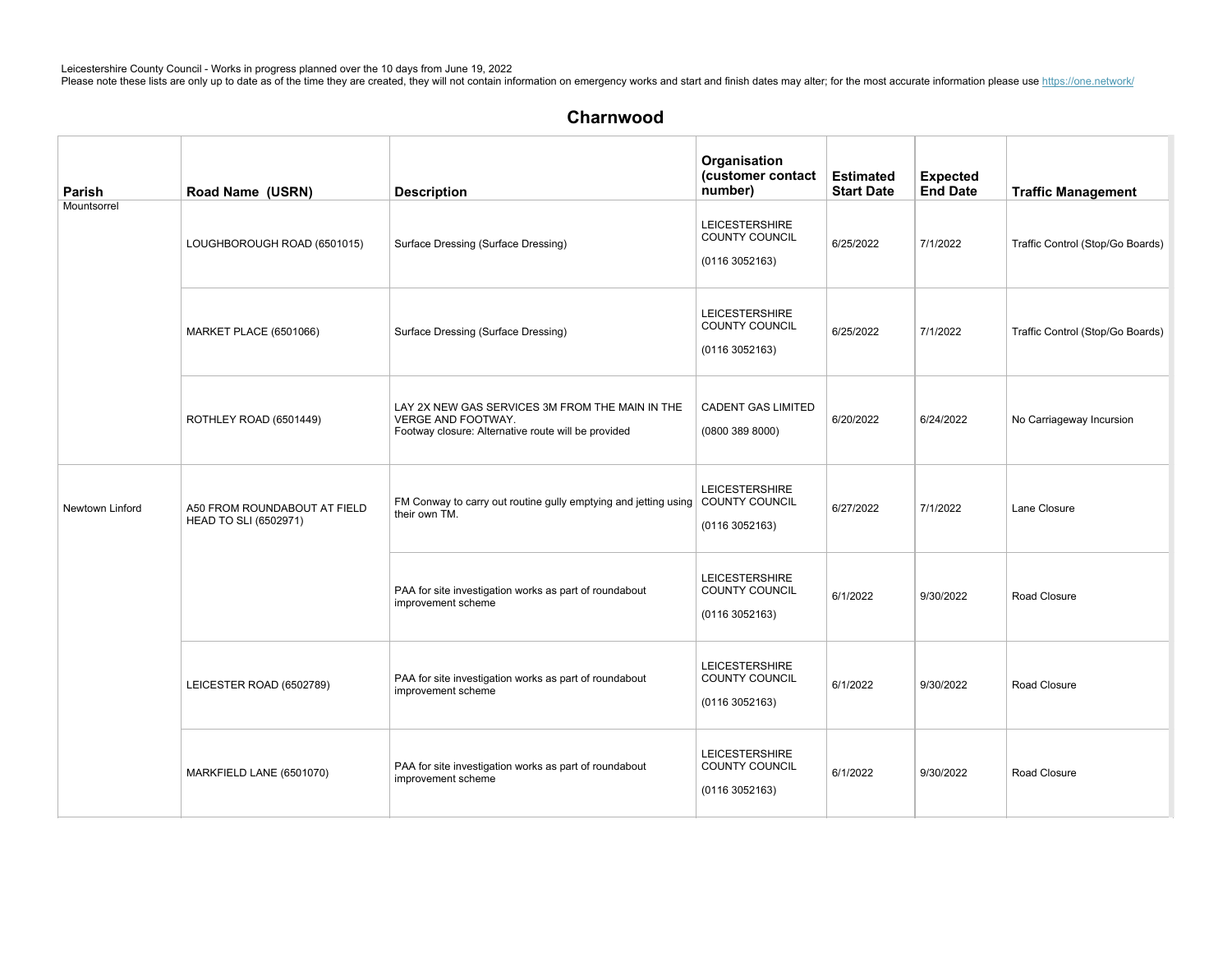| Parish          | Road Name (USRN)                                      | <b>Description</b>                                                                                                           | Organisation<br>(customer contact<br>number)                    | <b>Estimated</b><br><b>Start Date</b> | <b>Expected</b><br><b>End Date</b> | <b>Traffic Management</b>        |
|-----------------|-------------------------------------------------------|------------------------------------------------------------------------------------------------------------------------------|-----------------------------------------------------------------|---------------------------------------|------------------------------------|----------------------------------|
| Mountsorrel     | LOUGHBOROUGH ROAD (6501015)                           | Surface Dressing (Surface Dressing)                                                                                          | <b>LEICESTERSHIRE</b><br>COUNTY COUNCIL<br>(01163052163)        | 6/25/2022                             | 7/1/2022                           | Traffic Control (Stop/Go Boards) |
|                 | MARKET PLACE (6501066)                                | Surface Dressing (Surface Dressing)                                                                                          | <b>LEICESTERSHIRE</b><br><b>COUNTY COUNCIL</b><br>(01163052163) | 6/25/2022                             | 7/1/2022                           | Traffic Control (Stop/Go Boards) |
|                 | ROTHLEY ROAD (6501449)                                | LAY 2X NEW GAS SERVICES 3M FROM THE MAIN IN THE<br>VERGE AND FOOTWAY.<br>Footway closure: Alternative route will be provided | <b>CADENT GAS LIMITED</b><br>(08003898000)                      | 6/20/2022                             | 6/24/2022                          | No Carriageway Incursion         |
| Newtown Linford | A50 FROM ROUNDABOUT AT FIELD<br>HEAD TO SLI (6502971) | FM Conway to carry out routine gully emptying and jetting using COUNTY COUNCIL<br>their own TM.                              | <b>LEICESTERSHIRE</b><br>(01163052163)                          | 6/27/2022                             | 7/1/2022                           | Lane Closure                     |
|                 |                                                       | PAA for site investigation works as part of roundabout<br>improvement scheme                                                 | <b>LEICESTERSHIRE</b><br>COUNTY COUNCIL<br>(01163052163)        | 6/1/2022                              | 9/30/2022                          | Road Closure                     |
|                 | LEICESTER ROAD (6502789)                              | PAA for site investigation works as part of roundabout<br>improvement scheme                                                 | <b>LEICESTERSHIRE</b><br>COUNTY COUNCIL<br>(01163052163)        | 6/1/2022                              | 9/30/2022                          | Road Closure                     |
|                 | MARKFIELD LANE (6501070)                              | PAA for site investigation works as part of roundabout<br>improvement scheme                                                 | <b>LEICESTERSHIRE</b><br>COUNTY COUNCIL<br>(01163052163)        | 6/1/2022                              | 9/30/2022                          | Road Closure                     |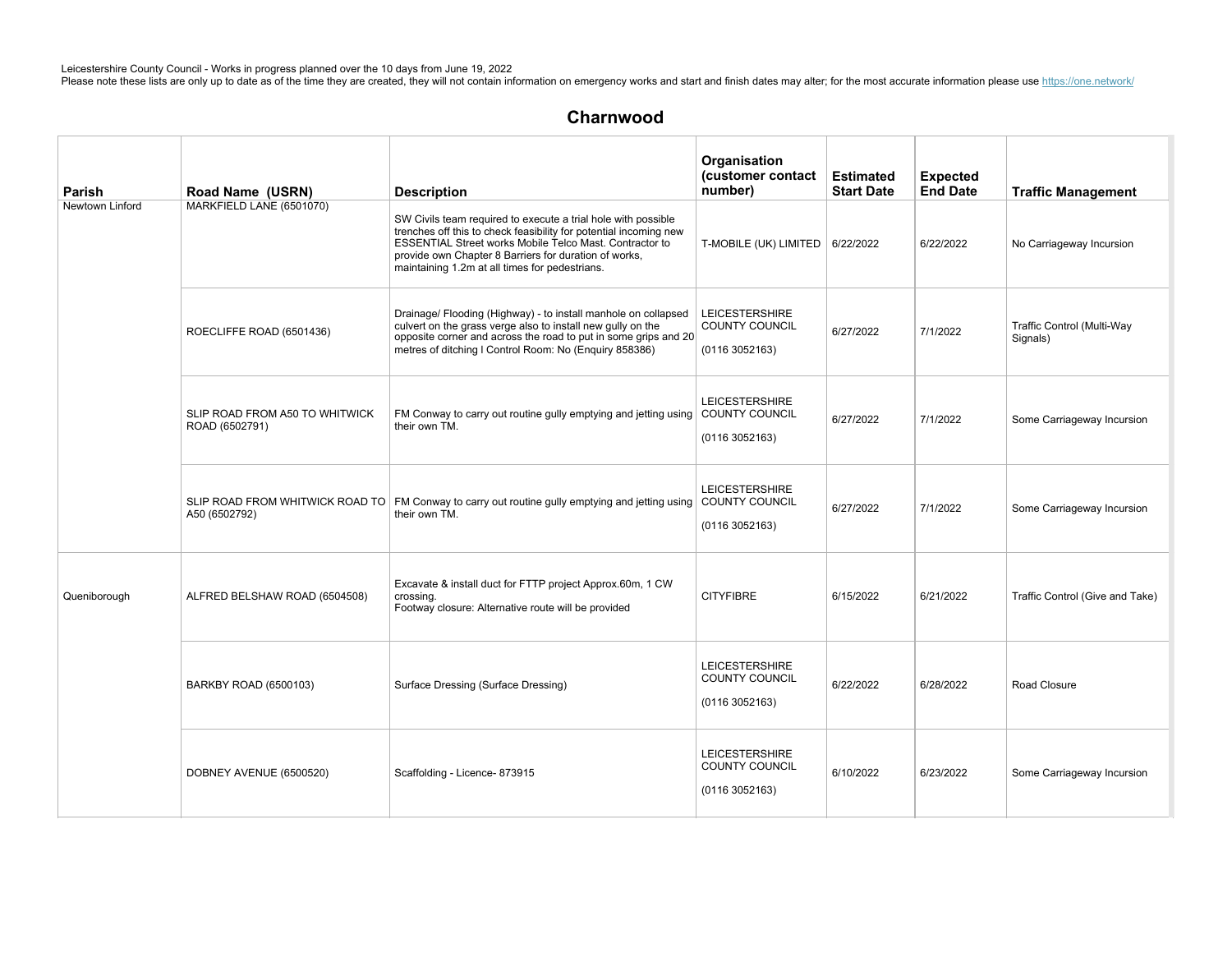| Parish          | Road Name (USRN)                                 | <b>Description</b>                                                                                                                                                                                                                                                                                       | Organisation<br>(customer contact<br>number)                    | <b>Estimated</b><br><b>Start Date</b> | <b>Expected</b><br><b>End Date</b> | <b>Traffic Management</b>              |
|-----------------|--------------------------------------------------|----------------------------------------------------------------------------------------------------------------------------------------------------------------------------------------------------------------------------------------------------------------------------------------------------------|-----------------------------------------------------------------|---------------------------------------|------------------------------------|----------------------------------------|
| Newtown Linford | MARKFIELD LANE (6501070)                         | SW Civils team required to execute a trial hole with possible<br>trenches off this to check feasibility for potential incoming new<br>ESSENTIAL Street works Mobile Telco Mast. Contractor to<br>provide own Chapter 8 Barriers for duration of works,<br>maintaining 1.2m at all times for pedestrians. | T-MOBILE (UK) LIMITED $\vert$ 6/22/2022                         |                                       | 6/22/2022                          | No Carriageway Incursion               |
|                 | ROECLIFFE ROAD (6501436)                         | Drainage/ Flooding (Highway) - to install manhole on collapsed<br>culvert on the grass verge also to install new gully on the<br>opposite corner and across the road to put in some grips and 20<br>metres of ditching I Control Room: No (Enguiry 858386)                                               | <b>LEICESTERSHIRE</b><br>COUNTY COUNCIL<br>(01163052163)        | 6/27/2022                             | 7/1/2022                           | Traffic Control (Multi-Way<br>Signals) |
|                 | SLIP ROAD FROM A50 TO WHITWICK<br>ROAD (6502791) | FM Conway to carry out routine gully emptying and jetting using COUNTY COUNCIL<br>their own TM.                                                                                                                                                                                                          | <b>LEICESTERSHIRE</b><br>(01163052163)                          | 6/27/2022                             | 7/1/2022                           | Some Carriageway Incursion             |
|                 | SLIP ROAD FROM WHITWICK ROAD TO<br>A50 (6502792) | FM Conway to carry out routine gully emptying and jetting using COUNTY COUNCIL<br>their own TM.                                                                                                                                                                                                          | <b>LEICESTERSHIRE</b><br>(01163052163)                          | 6/27/2022                             | 7/1/2022                           | Some Carriageway Incursion             |
| Queniborough    | ALFRED BELSHAW ROAD (6504508)                    | Excavate & install duct for FTTP project Approx.60m, 1 CW<br>crossing.<br>Footway closure: Alternative route will be provided                                                                                                                                                                            | <b>CITYFIBRE</b>                                                | 6/15/2022                             | 6/21/2022                          | Traffic Control (Give and Take)        |
|                 | BARKBY ROAD (6500103)                            | Surface Dressing (Surface Dressing)                                                                                                                                                                                                                                                                      | <b>LEICESTERSHIRE</b><br><b>COUNTY COUNCIL</b><br>(01163052163) | 6/22/2022                             | 6/28/2022                          | Road Closure                           |
|                 | DOBNEY AVENUE (6500520)                          | Scaffolding - Licence- 873915                                                                                                                                                                                                                                                                            | <b>LEICESTERSHIRE</b><br>COUNTY COUNCIL<br>(01163052163)        | 6/10/2022                             | 6/23/2022                          | Some Carriageway Incursion             |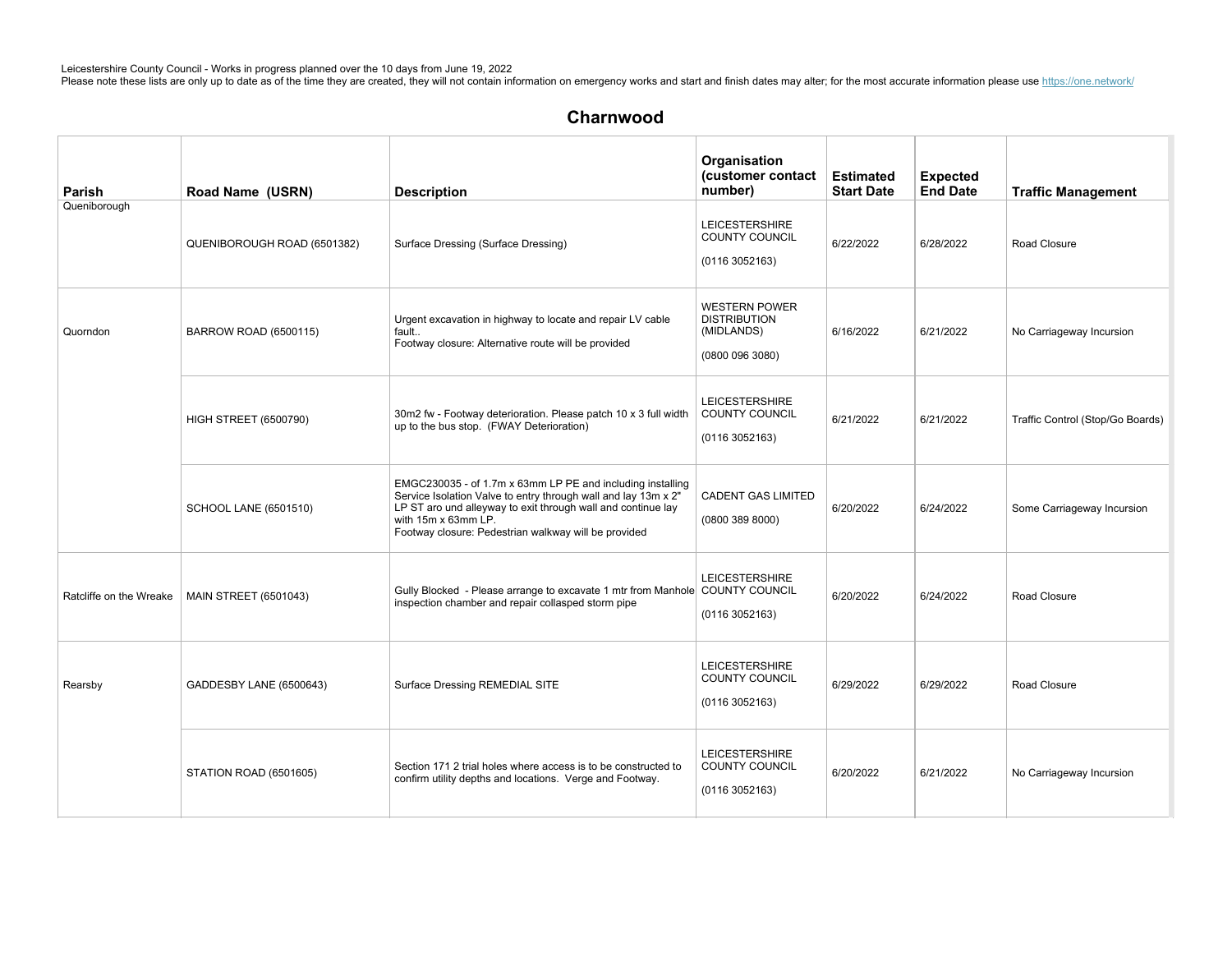# Charnwood

| Parish                  | Road Name (USRN)             | <b>Description</b>                                                                                                                                                                                                                                                          | Organisation<br>(customer contact<br>number)                               | <b>Estimated</b><br><b>Start Date</b> | <b>Expected</b><br><b>End Date</b> | <b>Traffic Management</b>        |
|-------------------------|------------------------------|-----------------------------------------------------------------------------------------------------------------------------------------------------------------------------------------------------------------------------------------------------------------------------|----------------------------------------------------------------------------|---------------------------------------|------------------------------------|----------------------------------|
| Queniborough            | QUENIBOROUGH ROAD (6501382)  | Surface Dressing (Surface Dressing)                                                                                                                                                                                                                                         | <b>LEICESTERSHIRE</b><br><b>COUNTY COUNCIL</b><br>(0116 3052163)           | 6/22/2022                             | 6/28/2022                          | Road Closure                     |
| Quorndon                | <b>BARROW ROAD (6500115)</b> | Urgent excavation in highway to locate and repair LV cable<br>fault<br>Footway closure: Alternative route will be provided                                                                                                                                                  | <b>WESTERN POWER</b><br><b>DISTRIBUTION</b><br>(MIDLANDS)<br>(08000963080) | 6/16/2022                             | 6/21/2022                          | No Carriageway Incursion         |
|                         | <b>HIGH STREET (6500790)</b> | 30m2 fw - Footway deterioration. Please patch 10 x 3 full width<br>up to the bus stop. (FWAY Deterioration)                                                                                                                                                                 | <b>LEICESTERSHIRE</b><br><b>COUNTY COUNCIL</b><br>(01163052163)            | 6/21/2022                             | 6/21/2022                          | Traffic Control (Stop/Go Boards) |
|                         | <b>SCHOOL LANE (6501510)</b> | EMGC230035 - of 1.7m x 63mm LP PE and including installing<br>Service Isolation Valve to entry through wall and lay 13m x 2"<br>LP ST aro und alleyway to exit through wall and continue lay<br>with 15m x 63mm LP.<br>Footway closure: Pedestrian walkway will be provided | <b>CADENT GAS LIMITED</b><br>(0800 389 8000)                               | 6/20/2022                             | 6/24/2022                          | Some Carriageway Incursion       |
| Ratcliffe on the Wreake | <b>MAIN STREET (6501043)</b> | Gully Blocked - Please arrange to excavate 1 mtr from Manhole COUNTY COUNCIL<br>inspection chamber and repair collasped storm pipe                                                                                                                                          | <b>LEICESTERSHIRE</b><br>(01163052163)                                     | 6/20/2022                             | 6/24/2022                          | Road Closure                     |
| Rearsby                 | GADDESBY LANE (6500643)      | Surface Dressing REMEDIAL SITE                                                                                                                                                                                                                                              | <b>LEICESTERSHIRE</b><br>COUNTY COUNCIL<br>(01163052163)                   | 6/29/2022                             | 6/29/2022                          | Road Closure                     |
|                         | STATION ROAD (6501605)       | Section 171 2 trial holes where access is to be constructed to<br>confirm utility depths and locations. Verge and Footway.                                                                                                                                                  | <b>LEICESTERSHIRE</b><br>COUNTY COUNCIL<br>(01163052163)                   | 6/20/2022                             | 6/21/2022                          | No Carriageway Incursion         |

 $L$ ogh $R$ o $\bar{S}$ 34) SurfaceDressing(SurfaceDressing) Leicestershire) Leicestershire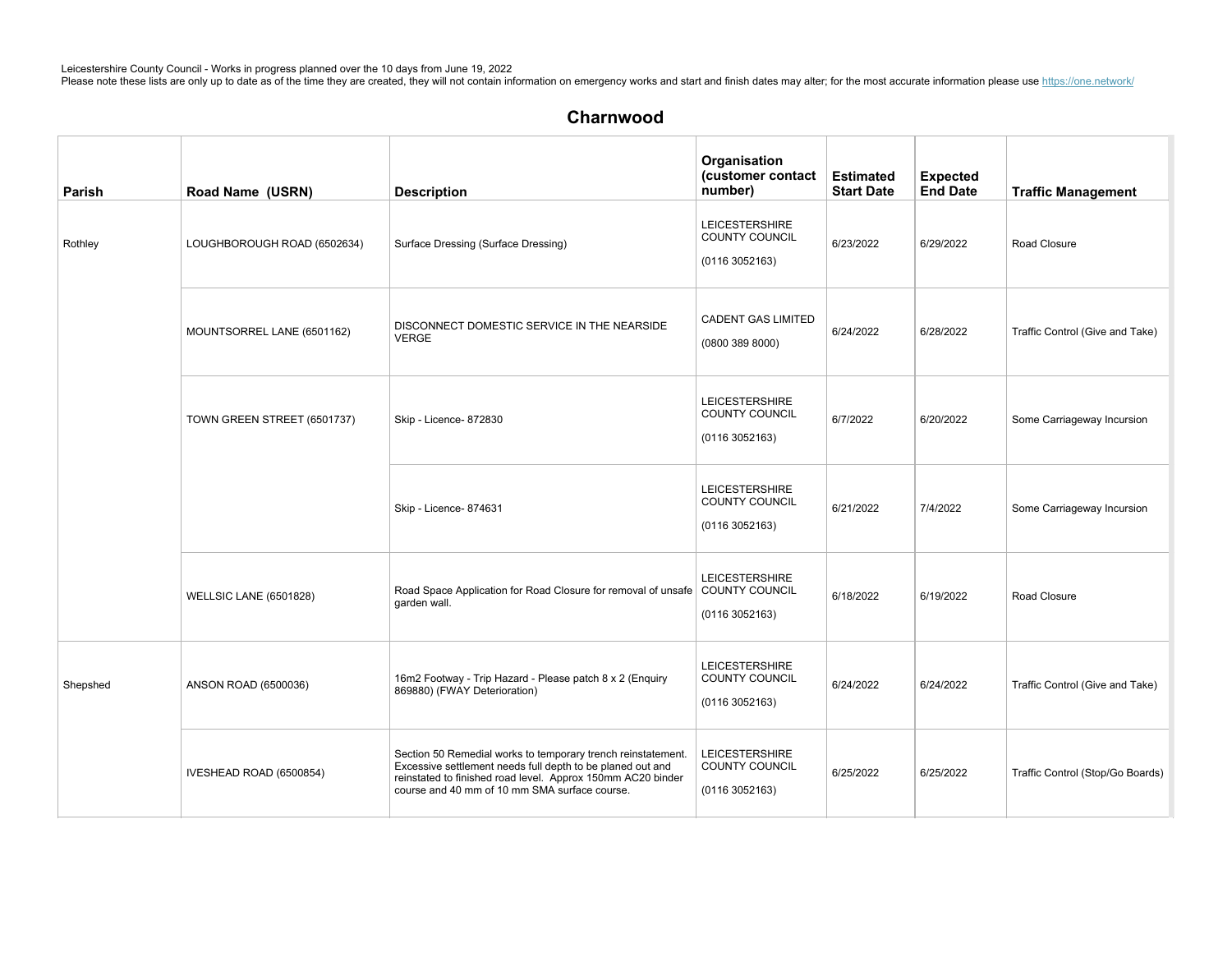| Parish   | Road Name (USRN)              | <b>Description</b>                                                                                                                                                                                                                         | Organisation<br>(customer contact<br>number)                    | <b>Estimated</b><br><b>Start Date</b> | <b>Expected</b><br><b>End Date</b> | <b>Traffic Management</b>        |
|----------|-------------------------------|--------------------------------------------------------------------------------------------------------------------------------------------------------------------------------------------------------------------------------------------|-----------------------------------------------------------------|---------------------------------------|------------------------------------|----------------------------------|
| Rothley  | LOUGHBOROUGH ROAD (6502634)   | Surface Dressing (Surface Dressing)                                                                                                                                                                                                        | <b>LEICESTERSHIRE</b><br><b>COUNTY COUNCIL</b><br>(01163052163) | 6/23/2022                             | 6/29/2022                          | Road Closure                     |
|          | MOUNTSORREL LANE (6501162)    | DISCONNECT DOMESTIC SERVICE IN THE NEARSIDE<br><b>VERGE</b>                                                                                                                                                                                | <b>CADENT GAS LIMITED</b><br>(0800 389 8000)                    | 6/24/2022                             | 6/28/2022                          | Traffic Control (Give and Take)  |
|          | TOWN GREEN STREET (6501737)   | Skip - Licence- 872830                                                                                                                                                                                                                     | <b>LEICESTERSHIRE</b><br>COUNTY COUNCIL<br>(01163052163)        | 6/7/2022                              | 6/20/2022                          | Some Carriageway Incursion       |
|          |                               | Skip - Licence- 874631                                                                                                                                                                                                                     | <b>LEICESTERSHIRE</b><br>COUNTY COUNCIL<br>(01163052163)        | 6/21/2022                             | 7/4/2022                           | Some Carriageway Incursion       |
|          | <b>WELLSIC LANE (6501828)</b> | Road Space Application for Road Closure for removal of unsafe COUNTY COUNCIL<br>garden wall.                                                                                                                                               | <b>LEICESTERSHIRE</b><br>(01163052163)                          | 6/18/2022                             | 6/19/2022                          | Road Closure                     |
| Shepshed | ANSON ROAD (6500036)          | 16m2 Footway - Trip Hazard - Please patch 8 x 2 (Enquiry<br>869880) (FWAY Deterioration)                                                                                                                                                   | <b>LEICESTERSHIRE</b><br><b>COUNTY COUNCIL</b><br>(01163052163) | 6/24/2022                             | 6/24/2022                          | Traffic Control (Give and Take)  |
|          | IVESHEAD ROAD (6500854)       | Section 50 Remedial works to temporary trench reinstatement.<br>Excessive settlement needs full depth to be planed out and<br>reinstated to finished road level. Approx 150mm AC20 binder<br>course and 40 mm of 10 mm SMA surface course. | <b>LEICESTERSHIRE</b><br>COUNTY COUNCIL<br>(01163052163)        | 6/25/2022                             | 6/25/2022                          | Traffic Control (Stop/Go Boards) |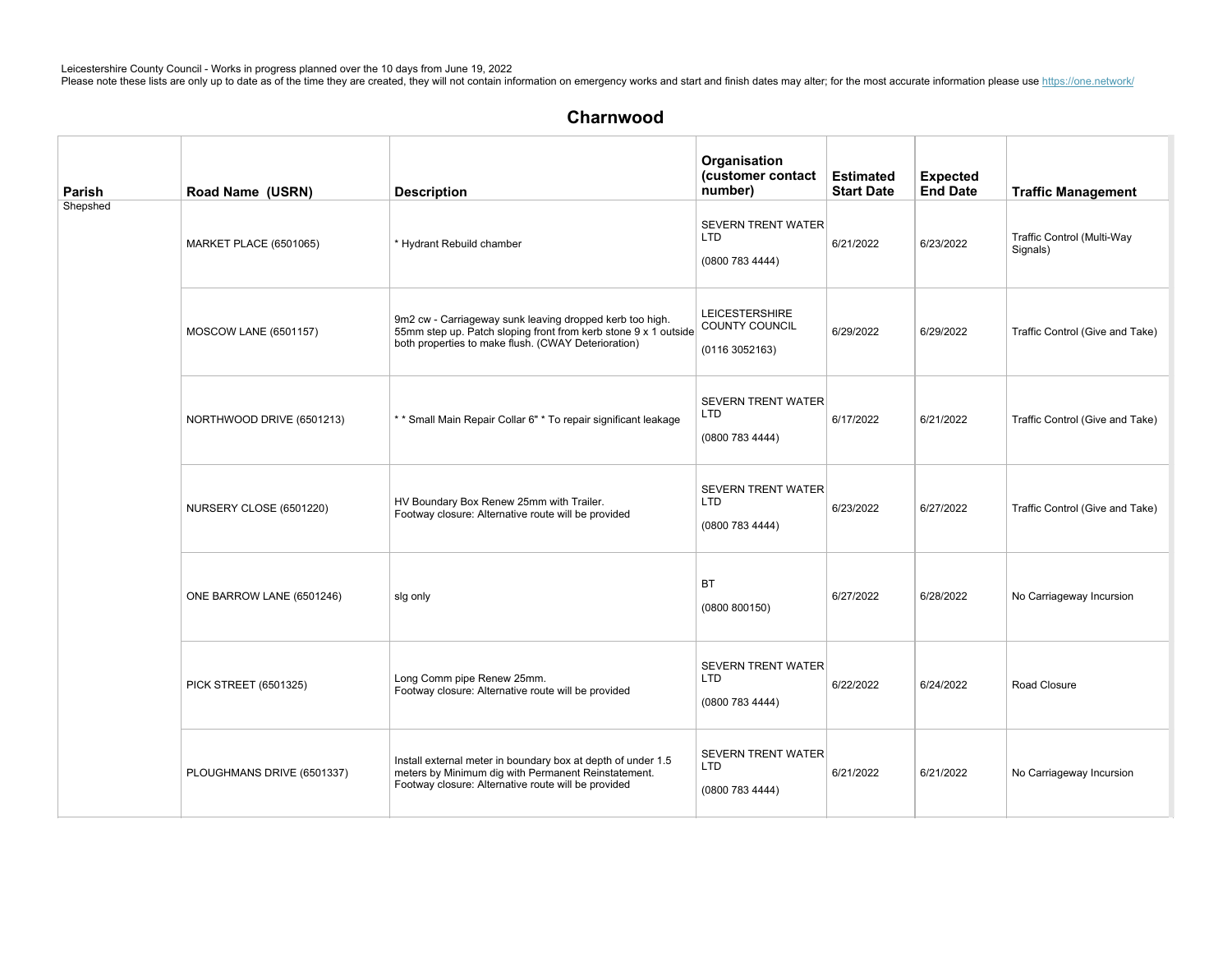| Parish   | Road Name (USRN)           | <b>Description</b>                                                                                                                                                                 | Organisation<br>(customer contact<br>number)                    | <b>Estimated</b><br><b>Start Date</b> | <b>Expected</b><br><b>End Date</b> | <b>Traffic Management</b>              |
|----------|----------------------------|------------------------------------------------------------------------------------------------------------------------------------------------------------------------------------|-----------------------------------------------------------------|---------------------------------------|------------------------------------|----------------------------------------|
| Shepshed | MARKET PLACE (6501065)     | * Hydrant Rebuild chamber                                                                                                                                                          | <b>SEVERN TRENT WATER</b><br><b>LTD</b><br>(0800 783 4444)      | 6/21/2022                             | 6/23/2022                          | Traffic Control (Multi-Way<br>Signals) |
|          | MOSCOW LANE (6501157)      | 9m2 cw - Carriageway sunk leaving dropped kerb too high.<br>55mm step up. Patch sloping front from kerb stone 9 x 1 outside<br>both properties to make flush. (CWAY Deterioration) | <b>LEICESTERSHIRE</b><br><b>COUNTY COUNCIL</b><br>(01163052163) | 6/29/2022                             | 6/29/2022                          | Traffic Control (Give and Take)        |
|          | NORTHWOOD DRIVE (6501213)  | ** Small Main Repair Collar 6" * To repair significant leakage                                                                                                                     | <b>SEVERN TRENT WATER</b><br><b>LTD</b><br>(08007834444)        | 6/17/2022                             | 6/21/2022                          | Traffic Control (Give and Take)        |
|          | NURSERY CLOSE (6501220)    | HV Boundary Box Renew 25mm with Trailer.<br>Footway closure: Alternative route will be provided                                                                                    | <b>SEVERN TRENT WATER</b><br><b>LTD</b><br>(08007834444)        | 6/23/2022                             | 6/27/2022                          | Traffic Control (Give and Take)        |
|          | ONE BARROW LANE (6501246)  | sig only                                                                                                                                                                           | <b>BT</b><br>(0800 800150)                                      | 6/27/2022                             | 6/28/2022                          | No Carriageway Incursion               |
|          | PICK STREET (6501325)      | Long Comm pipe Renew 25mm.<br>Footway closure: Alternative route will be provided                                                                                                  | <b>SEVERN TRENT WATER</b><br><b>LTD</b><br>(0800 783 4444)      | 6/22/2022                             | 6/24/2022                          | Road Closure                           |
|          | PLOUGHMANS DRIVE (6501337) | Install external meter in boundary box at depth of under 1.5<br>meters by Minimum dig with Permanent Reinstatement.<br>Footway closure: Alternative route will be provided         | <b>SEVERN TRENT WATER</b><br>LTD<br>(08007834444)               | 6/21/2022                             | 6/21/2022                          | No Carriageway Incursion               |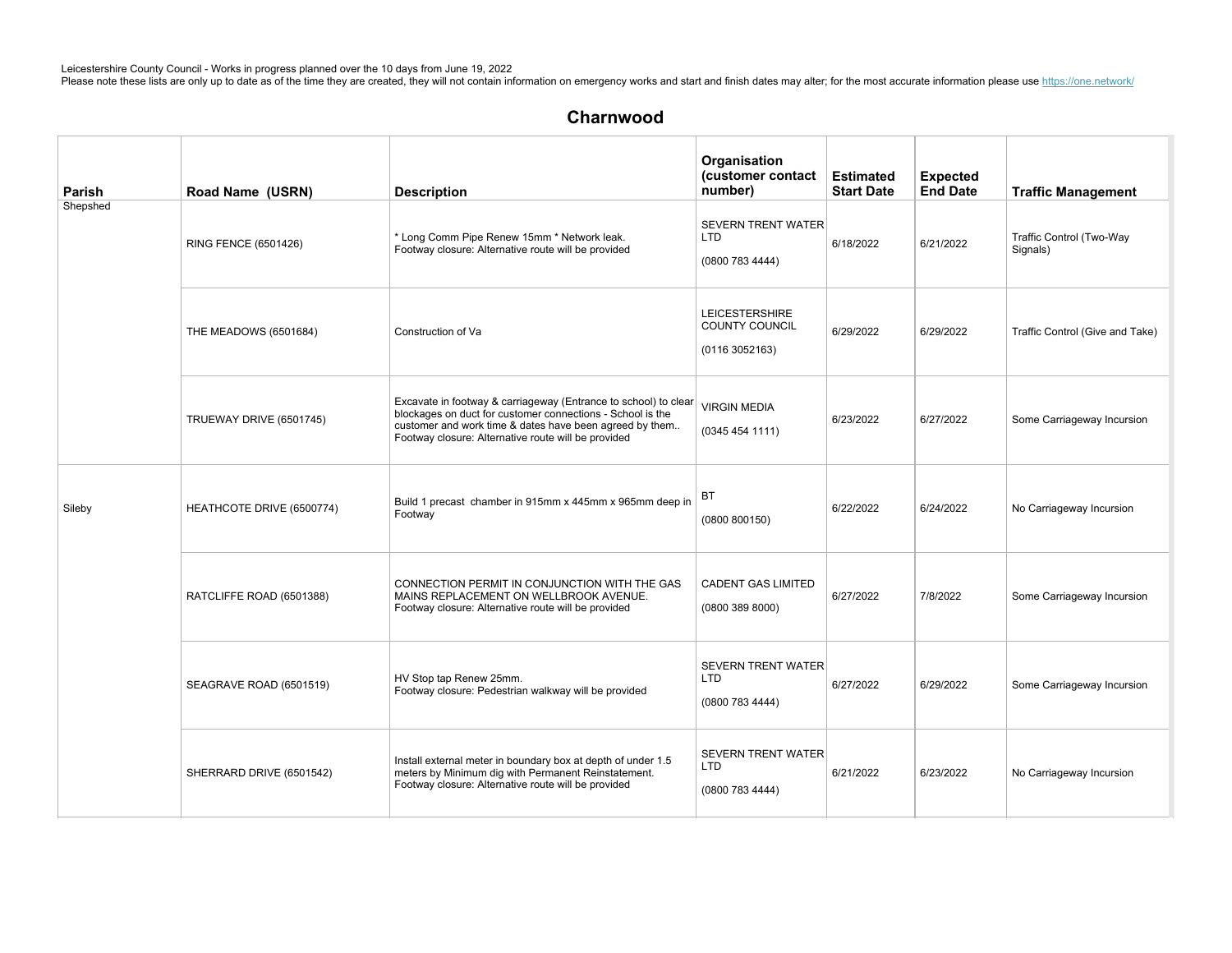| Parish   | Road Name (USRN)          | <b>Description</b>                                                                                                                                                                                                                              | Organisation<br>(customer contact<br>number)                    | <b>Estimated</b><br><b>Start Date</b> | <b>Expected</b><br><b>End Date</b> | <b>Traffic Management</b>            |
|----------|---------------------------|-------------------------------------------------------------------------------------------------------------------------------------------------------------------------------------------------------------------------------------------------|-----------------------------------------------------------------|---------------------------------------|------------------------------------|--------------------------------------|
| Shepshed | RING FENCE (6501426)      | * Long Comm Pipe Renew 15mm * Network leak.<br>Footway closure: Alternative route will be provided                                                                                                                                              | <b>SEVERN TRENT WATER</b><br><b>LTD</b><br>(0800 783 4444)      | 6/18/2022                             | 6/21/2022                          | Traffic Control (Two-Way<br>Signals) |
|          | THE MEADOWS (6501684)     | Construction of Va                                                                                                                                                                                                                              | <b>LEICESTERSHIRE</b><br><b>COUNTY COUNCIL</b><br>(01163052163) | 6/29/2022                             | 6/29/2022                          | Traffic Control (Give and Take)      |
|          | TRUEWAY DRIVE (6501745)   | Excavate in footway & carriageway (Entrance to school) to clear<br>blockages on duct for customer connections - School is the<br>customer and work time & dates have been agreed by them<br>Footway closure: Alternative route will be provided | <b>VIRGIN MEDIA</b><br>(0345454111)                             | 6/23/2022                             | 6/27/2022                          | Some Carriageway Incursion           |
| Sileby   | HEATHCOTE DRIVE (6500774) | Build 1 precast chamber in 915mm x 445mm x 965mm deep in<br>Footway                                                                                                                                                                             | BT<br>(0800 800150)                                             | 6/22/2022                             | 6/24/2022                          | No Carriageway Incursion             |
|          | RATCLIFFE ROAD (6501388)  | CONNECTION PERMIT IN CONJUNCTION WITH THE GAS<br>MAINS REPLACEMENT ON WELLBROOK AVENUE.<br>Footway closure: Alternative route will be provided                                                                                                  | <b>CADENT GAS LIMITED</b><br>(0800 389 8000)                    | 6/27/2022                             | 7/8/2022                           | Some Carriageway Incursion           |
|          | SEAGRAVE ROAD (6501519)   | HV Stop tap Renew 25mm.<br>Footway closure: Pedestrian walkway will be provided                                                                                                                                                                 | <b>SEVERN TRENT WATER</b><br><b>LTD</b><br>(0800 783 4444)      | 6/27/2022                             | 6/29/2022                          | Some Carriageway Incursion           |
|          | SHERRARD DRIVE (6501542)  | Install external meter in boundary box at depth of under 1.5<br>meters by Minimum dig with Permanent Reinstatement.<br>Footway closure: Alternative route will be provided                                                                      | <b>SEVERN TRENT WATER</b><br>LTD<br>(0800 783 4444)             | 6/21/2022                             | 6/23/2022                          | No Carriageway Incursion             |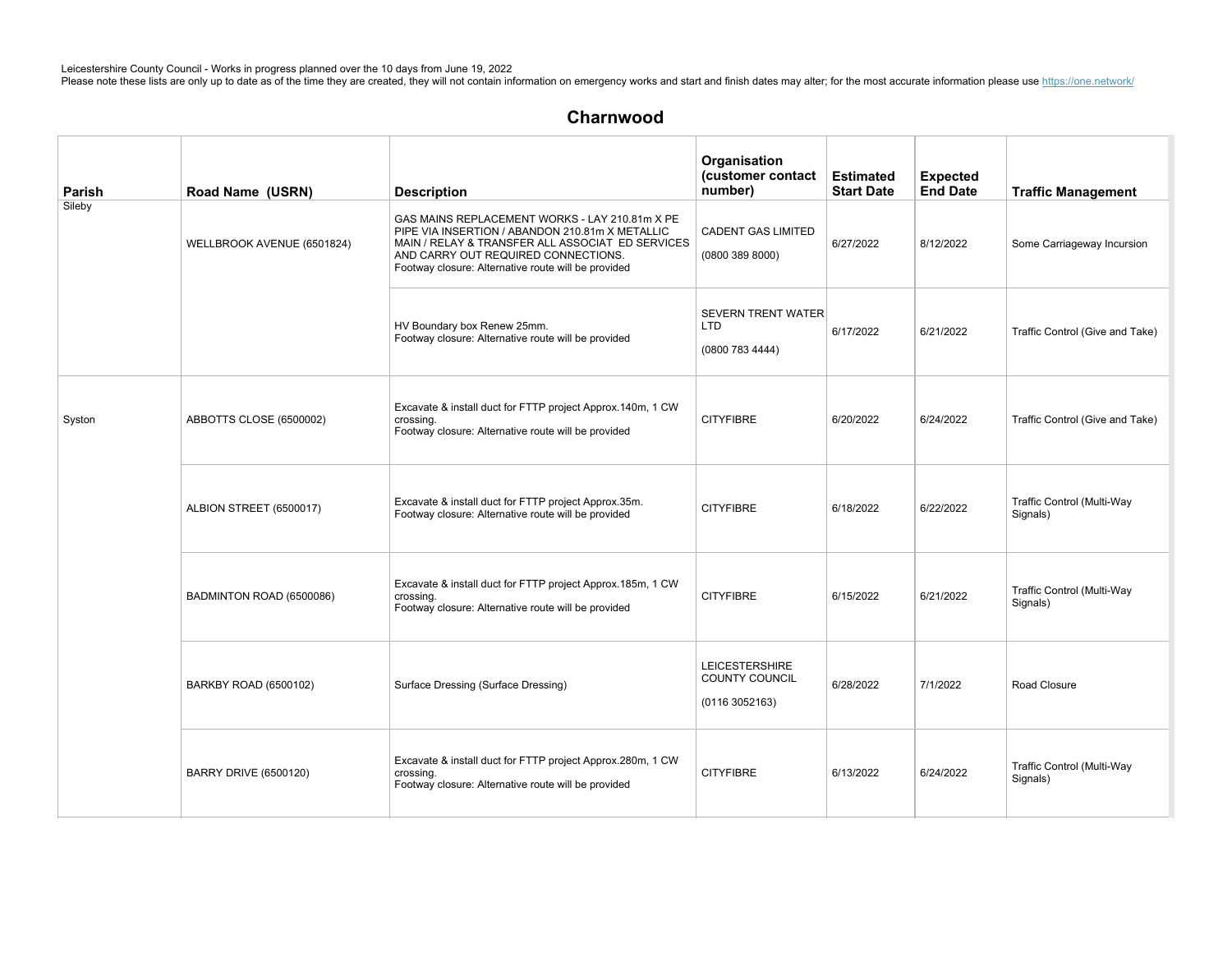| Parish | Road Name (USRN)             | <b>Description</b>                                                                                                                                                                                                                                  | Organisation<br>(customer contact<br>number)                     | <b>Estimated</b><br><b>Start Date</b> | <b>Expected</b><br><b>End Date</b> | <b>Traffic Management</b>              |
|--------|------------------------------|-----------------------------------------------------------------------------------------------------------------------------------------------------------------------------------------------------------------------------------------------------|------------------------------------------------------------------|---------------------------------------|------------------------------------|----------------------------------------|
| Sileby | WELLBROOK AVENUE (6501824)   | GAS MAINS REPLACEMENT WORKS - LAY 210.81m X PE<br>PIPE VIA INSERTION / ABANDON 210.81m X METALLIC<br>MAIN / RELAY & TRANSFER ALL ASSOCIAT ED SERVICES<br>AND CARRY OUT REQUIRED CONNECTIONS.<br>Footway closure: Alternative route will be provided | <b>CADENT GAS LIMITED</b><br>(0800 389 8000)                     | 6/27/2022                             | 8/12/2022                          | Some Carriageway Incursion             |
|        |                              | HV Boundary box Renew 25mm.<br>Footway closure: Alternative route will be provided                                                                                                                                                                  | <b>SEVERN TRENT WATER</b><br><b>LTD</b><br>(0800 783 4444)       | 6/17/2022                             | 6/21/2022                          | Traffic Control (Give and Take)        |
| Syston | ABBOTTS CLOSE (6500002)      | Excavate & install duct for FTTP project Approx.140m, 1 CW<br>crossing.<br>Footway closure: Alternative route will be provided                                                                                                                      | <b>CITYFIBRE</b>                                                 | 6/20/2022                             | 6/24/2022                          | Traffic Control (Give and Take)        |
|        | ALBION STREET (6500017)      | Excavate & install duct for FTTP project Approx.35m.<br>Footway closure: Alternative route will be provided                                                                                                                                         | <b>CITYFIBRE</b>                                                 | 6/18/2022                             | 6/22/2022                          | Traffic Control (Multi-Way<br>Signals) |
|        | BADMINTON ROAD (6500086)     | Excavate & install duct for FTTP project Approx.185m, 1 CW<br>crossing.<br>Footway closure: Alternative route will be provided                                                                                                                      | <b>CITYFIBRE</b>                                                 | 6/15/2022                             | 6/21/2022                          | Traffic Control (Multi-Way<br>Signals) |
|        | BARKBY ROAD (6500102)        | Surface Dressing (Surface Dressing)                                                                                                                                                                                                                 | <b>LEICESTERSHIRE</b><br><b>COUNTY COUNCIL</b><br>(0116 3052163) | 6/28/2022                             | 7/1/2022                           | Road Closure                           |
|        | <b>BARRY DRIVE (6500120)</b> | Excavate & install duct for FTTP project Approx.280m, 1 CW<br>crossing.<br>Footway closure: Alternative route will be provided                                                                                                                      | <b>CITYFIBRE</b>                                                 | 6/13/2022                             | 6/24/2022                          | Traffic Control (Multi-Way<br>Signals) |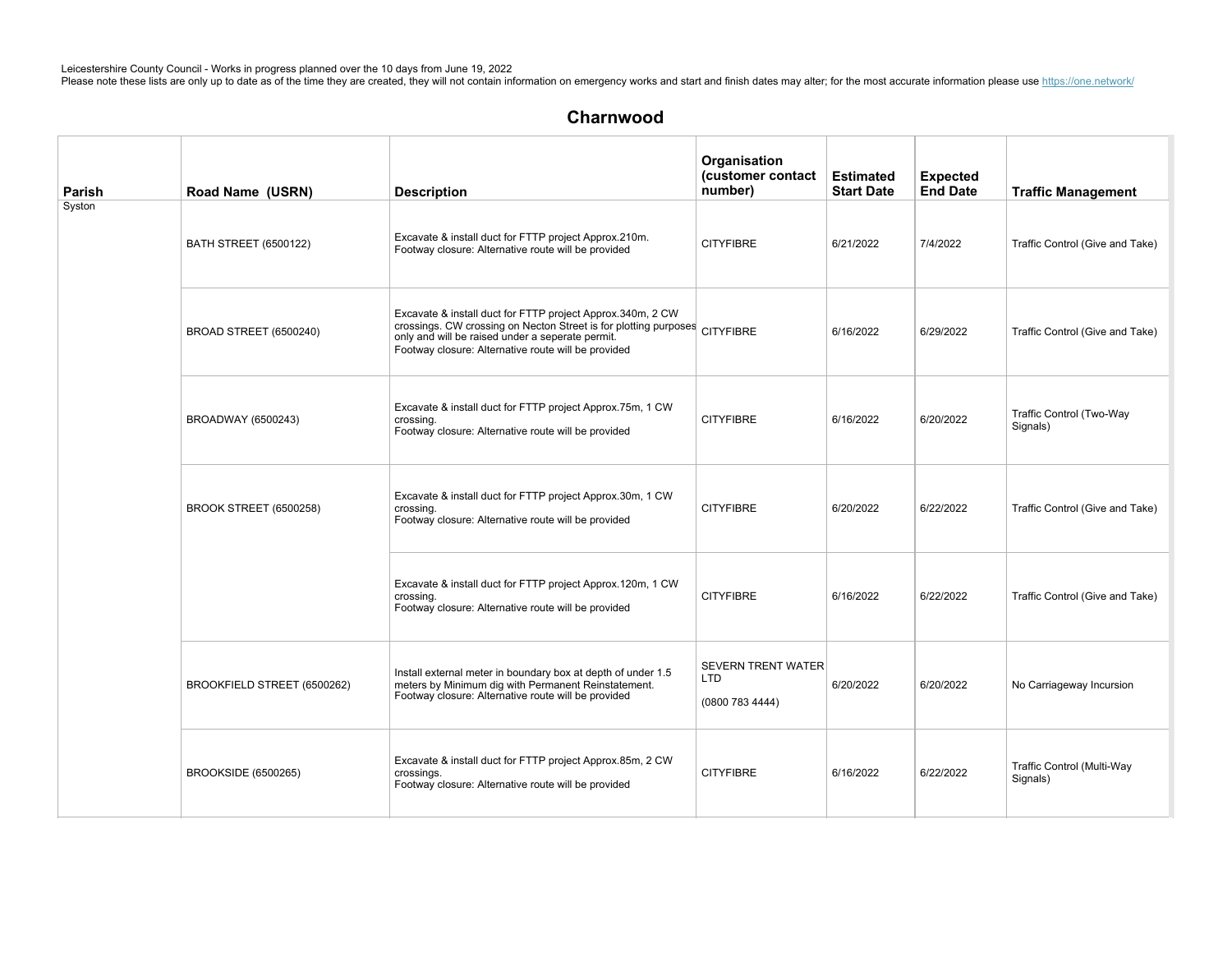| Parish | Road Name (USRN)              | <b>Description</b>                                                                                                                                                                                                                                  | Organisation<br>(customer contact<br>number)               | <b>Estimated</b><br><b>Start Date</b> | <b>Expected</b><br><b>End Date</b> | <b>Traffic Management</b>              |
|--------|-------------------------------|-----------------------------------------------------------------------------------------------------------------------------------------------------------------------------------------------------------------------------------------------------|------------------------------------------------------------|---------------------------------------|------------------------------------|----------------------------------------|
| Syston | <b>BATH STREET (6500122)</b>  | Excavate & install duct for FTTP project Approx.210m.<br>Footway closure: Alternative route will be provided                                                                                                                                        | <b>CITYFIBRE</b>                                           | 6/21/2022                             | 7/4/2022                           | Traffic Control (Give and Take)        |
|        | <b>BROAD STREET (6500240)</b> | Excavate & install duct for FTTP project Approx.340m, 2 CW<br>crossings. CW crossing on Necton Street is for plotting purposes CITYFIBRE<br>only and will be raised under a seperate permit.<br>Footway closure: Alternative route will be provided |                                                            | 6/16/2022                             | 6/29/2022                          | Traffic Control (Give and Take)        |
|        | BROADWAY (6500243)            | Excavate & install duct for FTTP project Approx.75m, 1 CW<br>crossing.<br>Footway closure: Alternative route will be provided                                                                                                                       | <b>CITYFIBRE</b>                                           | 6/16/2022                             | 6/20/2022                          | Traffic Control (Two-Way<br>Signals)   |
|        | BROOK STREET (6500258)        | Excavate & install duct for FTTP project Approx.30m, 1 CW<br>crossing.<br>Footway closure: Alternative route will be provided                                                                                                                       | <b>CITYFIBRE</b>                                           | 6/20/2022                             | 6/22/2022                          | Traffic Control (Give and Take)        |
|        |                               | Excavate & install duct for FTTP project Approx.120m, 1 CW<br>crossing.<br>Footway closure: Alternative route will be provided                                                                                                                      | <b>CITYFIBRE</b>                                           | 6/16/2022                             | 6/22/2022                          | Traffic Control (Give and Take)        |
|        | BROOKFIELD STREET (6500262)   | Install external meter in boundary box at depth of under 1.5<br>meters by Minimum dig with Permanent Reinstatement.<br>Footway closure: Alternative route will be provided                                                                          | <b>SEVERN TRENT WATER</b><br><b>LTD</b><br>(0800 783 4444) | 6/20/2022                             | 6/20/2022                          | No Carriageway Incursion               |
|        | BROOKSIDE (6500265)           | Excavate & install duct for FTTP project Approx.85m, 2 CW<br>crossings.<br>Footway closure: Alternative route will be provided                                                                                                                      | <b>CITYFIBRE</b>                                           | 6/16/2022                             | 6/22/2022                          | Traffic Control (Multi-Way<br>Signals) |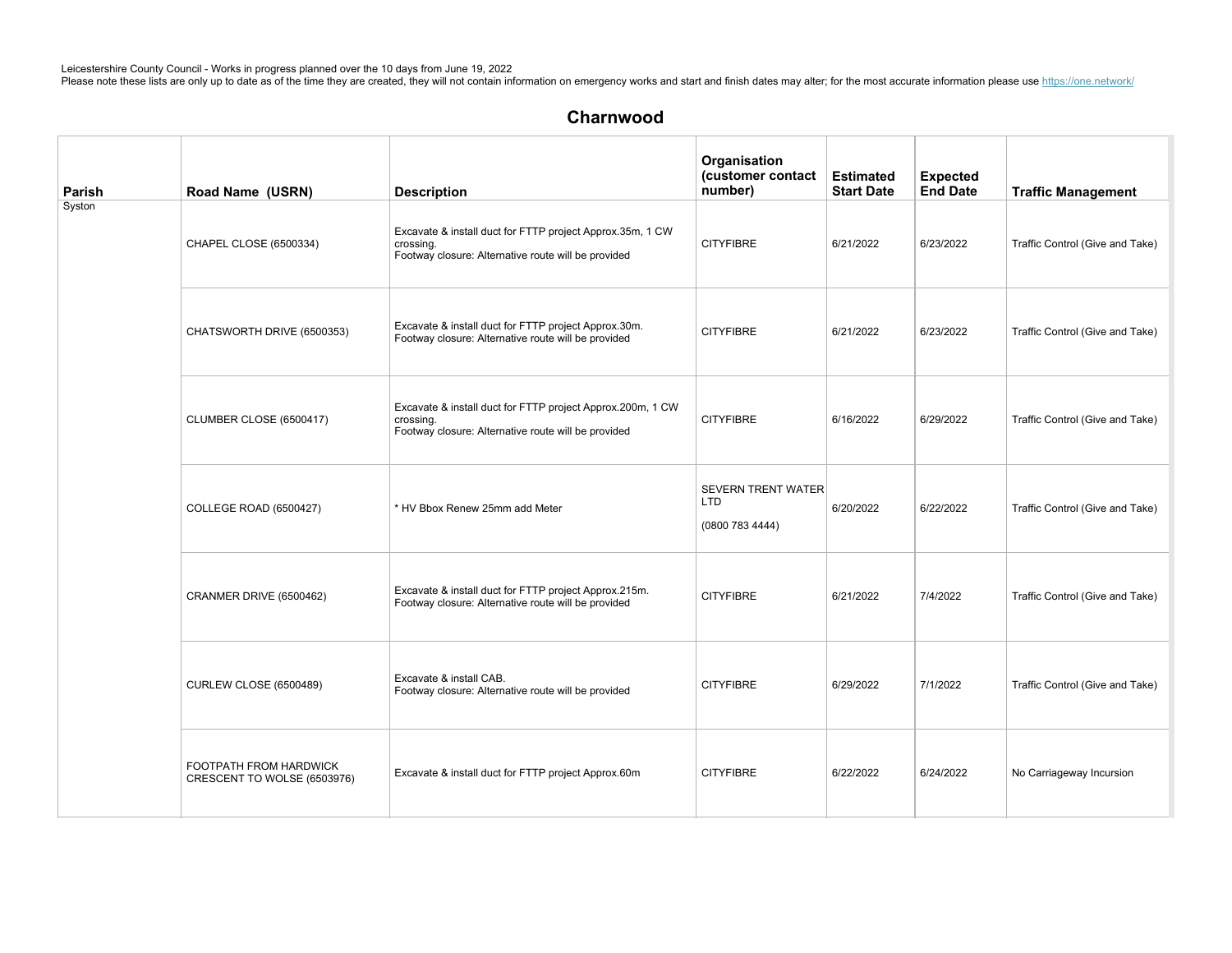| Parish | Road Name (USRN)                                      | <b>Description</b>                                                                                                             | Organisation<br>(customer contact<br>number)             | <b>Estimated</b><br><b>Start Date</b> | <b>Expected</b><br><b>End Date</b> | <b>Traffic Management</b>       |
|--------|-------------------------------------------------------|--------------------------------------------------------------------------------------------------------------------------------|----------------------------------------------------------|---------------------------------------|------------------------------------|---------------------------------|
| Syston | CHAPEL CLOSE (6500334)                                | Excavate & install duct for FTTP project Approx.35m, 1 CW<br>crossing.<br>Footway closure: Alternative route will be provided  | <b>CITYFIBRE</b>                                         | 6/21/2022                             | 6/23/2022                          | Traffic Control (Give and Take) |
|        | CHATSWORTH DRIVE (6500353)                            | Excavate & install duct for FTTP project Approx.30m.<br>Footway closure: Alternative route will be provided                    | <b>CITYFIBRE</b>                                         | 6/21/2022                             | 6/23/2022                          | Traffic Control (Give and Take) |
|        | CLUMBER CLOSE (6500417)                               | Excavate & install duct for FTTP project Approx.200m, 1 CW<br>crossing.<br>Footway closure: Alternative route will be provided | <b>CITYFIBRE</b>                                         | 6/16/2022                             | 6/29/2022                          | Traffic Control (Give and Take) |
|        | <b>COLLEGE ROAD (6500427)</b>                         | * HV Bbox Renew 25mm add Meter                                                                                                 | <b>SEVERN TRENT WATER</b><br><b>LTD</b><br>(08007834444) | 6/20/2022                             | 6/22/2022                          | Traffic Control (Give and Take) |
|        | CRANMER DRIVE (6500462)                               | Excavate & install duct for FTTP project Approx.215m.<br>Footway closure: Alternative route will be provided                   | <b>CITYFIBRE</b>                                         | 6/21/2022                             | 7/4/2022                           | Traffic Control (Give and Take) |
|        | <b>CURLEW CLOSE (6500489)</b>                         | Excavate & install CAB.<br>Footway closure: Alternative route will be provided                                                 | <b>CITYFIBRE</b>                                         | 6/29/2022                             | 7/1/2022                           | Traffic Control (Give and Take) |
|        | FOOTPATH FROM HARDWICK<br>CRESCENT TO WOLSE (6503976) | Excavate & install duct for FTTP project Approx.60m                                                                            | <b>CITYFIBRE</b>                                         | 6/22/2022                             | 6/24/2022                          | No Carriageway Incursion        |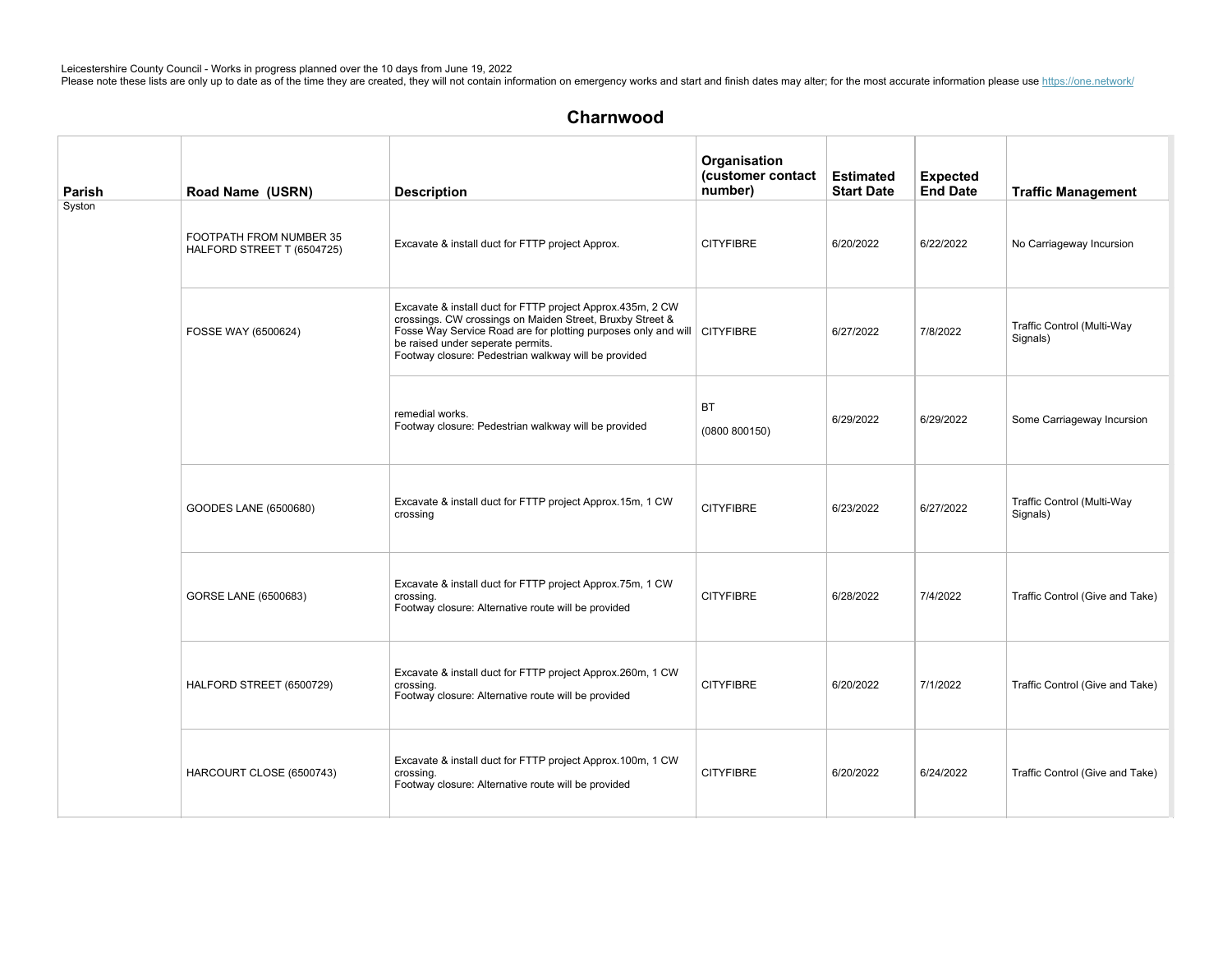| Parish | Road Name (USRN)                                      | <b>Description</b>                                                                                                                                                                                                                                                                               | Organisation<br>(customer contact<br>number) | <b>Estimated</b><br><b>Start Date</b> | <b>Expected</b><br><b>End Date</b> | <b>Traffic Management</b>              |
|--------|-------------------------------------------------------|--------------------------------------------------------------------------------------------------------------------------------------------------------------------------------------------------------------------------------------------------------------------------------------------------|----------------------------------------------|---------------------------------------|------------------------------------|----------------------------------------|
| Syston | FOOTPATH FROM NUMBER 35<br>HALFORD STREET T (6504725) | Excavate & install duct for FTTP project Approx.                                                                                                                                                                                                                                                 | <b>CITYFIBRE</b>                             | 6/20/2022                             | 6/22/2022                          | No Carriageway Incursion               |
|        | FOSSE WAY (6500624)                                   | Excavate & install duct for FTTP project Approx.435m, 2 CW<br>crossings. CW crossings on Maiden Street, Bruxby Street &<br>Fosse Way Service Road are for plotting purposes only and will CITYFIBRE<br>be raised under seperate permits.<br>Footway closure: Pedestrian walkway will be provided |                                              | 6/27/2022                             | 7/8/2022                           | Traffic Control (Multi-Way<br>Signals) |
|        |                                                       | remedial works.<br>Footway closure: Pedestrian walkway will be provided                                                                                                                                                                                                                          | <b>BT</b><br>(0800 800150)                   | 6/29/2022                             | 6/29/2022                          | Some Carriageway Incursion             |
|        | GOODES LANE (6500680)                                 | Excavate & install duct for FTTP project Approx.15m, 1 CW<br>crossing                                                                                                                                                                                                                            | <b>CITYFIBRE</b>                             | 6/23/2022                             | 6/27/2022                          | Traffic Control (Multi-Way<br>Signals) |
|        | GORSE LANE (6500683)                                  | Excavate & install duct for FTTP project Approx.75m, 1 CW<br>crossing.<br>Footway closure: Alternative route will be provided                                                                                                                                                                    | <b>CITYFIBRE</b>                             | 6/28/2022                             | 7/4/2022                           | Traffic Control (Give and Take)        |
|        | HALFORD STREET (6500729)                              | Excavate & install duct for FTTP project Approx.260m, 1 CW<br>crossing.<br>Footway closure: Alternative route will be provided                                                                                                                                                                   | <b>CITYFIBRE</b>                             | 6/20/2022                             | 7/1/2022                           | Traffic Control (Give and Take)        |
|        | HARCOURT CLOSE (6500743)                              | Excavate & install duct for FTTP project Approx.100m, 1 CW<br>crossing.<br>Footway closure: Alternative route will be provided                                                                                                                                                                   | <b>CITYFIBRE</b>                             | 6/20/2022                             | 6/24/2022                          | Traffic Control (Give and Take)        |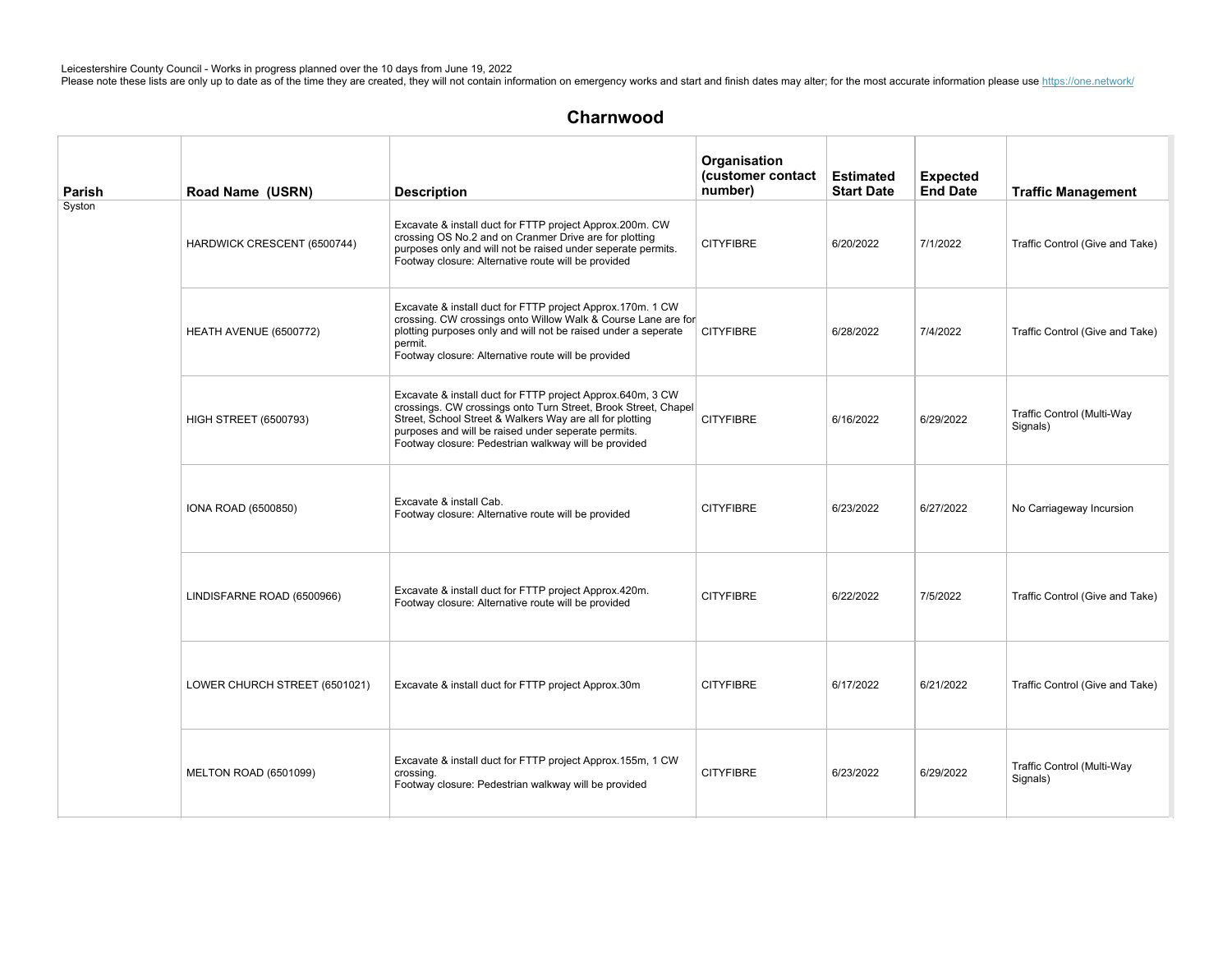| Parish | Road Name (USRN)              | <b>Description</b>                                                                                                                                                                                                                                                                                      | Organisation<br>(customer contact<br>number) | <b>Estimated</b><br><b>Start Date</b> | <b>Expected</b><br><b>End Date</b> | <b>Traffic Management</b>              |
|--------|-------------------------------|---------------------------------------------------------------------------------------------------------------------------------------------------------------------------------------------------------------------------------------------------------------------------------------------------------|----------------------------------------------|---------------------------------------|------------------------------------|----------------------------------------|
| Syston | HARDWICK CRESCENT (6500744)   | Excavate & install duct for FTTP project Approx.200m. CW<br>crossing OS No.2 and on Cranmer Drive are for plotting<br>purposes only and will not be raised under seperate permits.<br>Footway closure: Alternative route will be provided                                                               | <b>CITYFIBRE</b>                             | 6/20/2022                             | 7/1/2022                           | Traffic Control (Give and Take)        |
|        | HEATH AVENUE (6500772)        | Excavate & install duct for FTTP project Approx.170m. 1 CW<br>crossing. CW crossings onto Willow Walk & Course Lane are for<br>plotting purposes only and will not be raised under a seperate<br>permit.<br>Footway closure: Alternative route will be provided                                         | <b>CITYFIBRE</b>                             | 6/28/2022                             | 7/4/2022                           | Traffic Control (Give and Take)        |
|        | <b>HIGH STREET (6500793)</b>  | Excavate & install duct for FTTP project Approx.640m, 3 CW<br>crossings. CW crossings onto Turn Street, Brook Street, Chapel<br>Street, School Street & Walkers Way are all for plotting<br>purposes and will be raised under seperate permits.<br>Footway closure: Pedestrian walkway will be provided | <b>CITYFIBRE</b>                             | 6/16/2022                             | 6/29/2022                          | Traffic Control (Multi-Way<br>Signals) |
|        | IONA ROAD (6500850)           | Excavate & install Cab.<br>Footway closure: Alternative route will be provided                                                                                                                                                                                                                          | <b>CITYFIBRE</b>                             | 6/23/2022                             | 6/27/2022                          | No Carriageway Incursion               |
|        | LINDISFARNE ROAD (6500966)    | Excavate & install duct for FTTP project Approx.420m.<br>Footway closure: Alternative route will be provided                                                                                                                                                                                            | <b>CITYFIBRE</b>                             | 6/22/2022                             | 7/5/2022                           | Traffic Control (Give and Take)        |
|        | LOWER CHURCH STREET (6501021) | Excavate & install duct for FTTP project Approx.30m                                                                                                                                                                                                                                                     | <b>CITYFIBRE</b>                             | 6/17/2022                             | 6/21/2022                          | Traffic Control (Give and Take)        |
|        | MELTON ROAD (6501099)         | Excavate & install duct for FTTP project Approx.155m, 1 CW<br>crossing.<br>Footway closure: Pedestrian walkway will be provided                                                                                                                                                                         | <b>CITYFIBRE</b>                             | 6/23/2022                             | 6/29/2022                          | Traffic Control (Multi-Way<br>Signals) |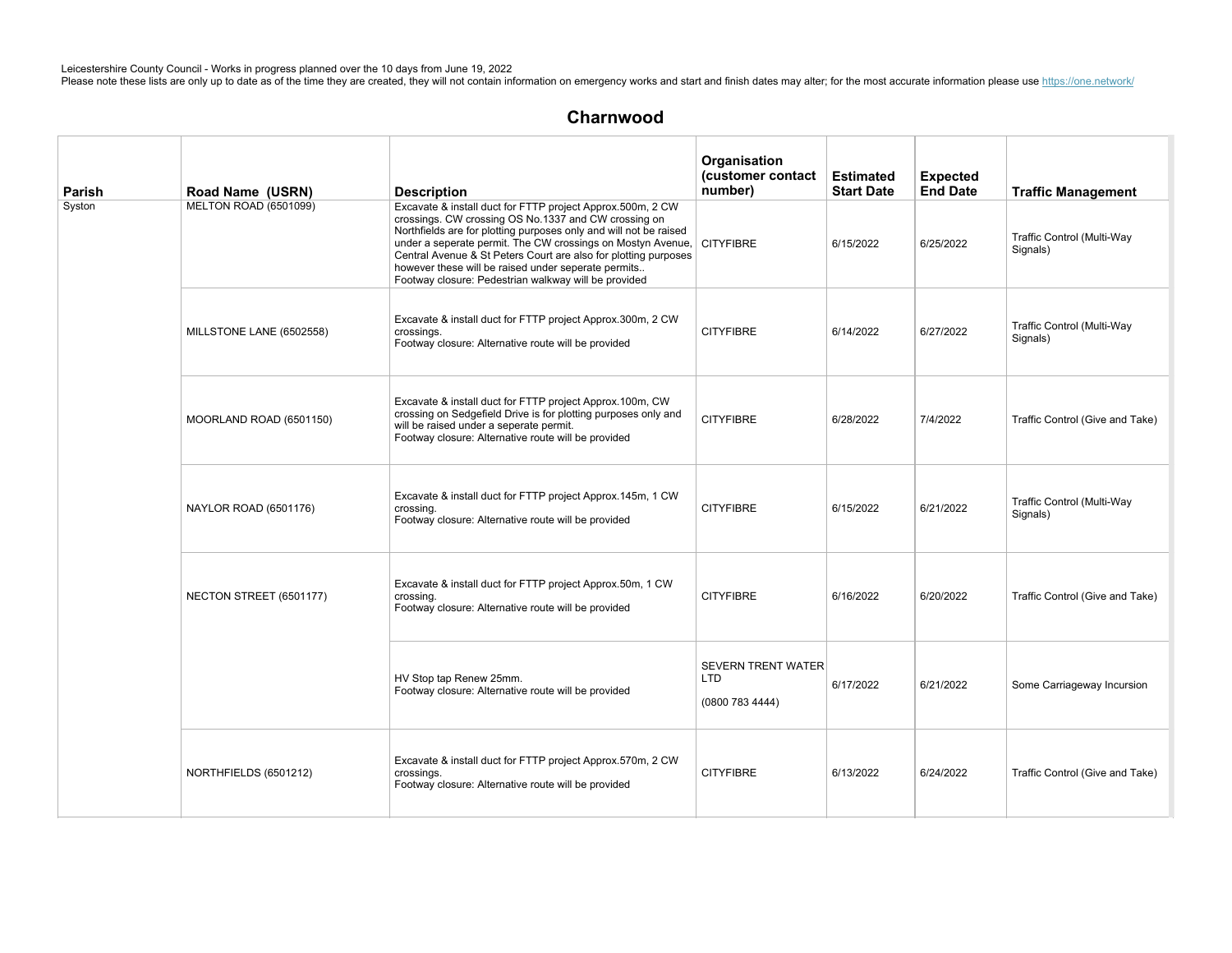| Parish | Road Name (USRN)             | <b>Description</b>                                                                                                                                                                                                                                                                                                                                                                                                                                 | Organisation<br>(customer contact<br>number)               | <b>Estimated</b><br><b>Start Date</b> | <b>Expected</b><br><b>End Date</b> | <b>Traffic Management</b>              |
|--------|------------------------------|----------------------------------------------------------------------------------------------------------------------------------------------------------------------------------------------------------------------------------------------------------------------------------------------------------------------------------------------------------------------------------------------------------------------------------------------------|------------------------------------------------------------|---------------------------------------|------------------------------------|----------------------------------------|
| Syston | <b>MELTON ROAD (6501099)</b> | Excavate & install duct for FTTP project Approx.500m, 2 CW<br>crossings. CW crossing OS No.1337 and CW crossing on<br>Northfields are for plotting purposes only and will not be raised<br>under a seperate permit. The CW crossings on Mostyn Avenue, CITYFIBRE<br>Central Avenue & St Peters Court are also for plotting purposes<br>however these will be raised under seperate permits<br>Footway closure: Pedestrian walkway will be provided |                                                            | 6/15/2022                             | 6/25/2022                          | Traffic Control (Multi-Way<br>Signals) |
|        | MILLSTONE LANE (6502558)     | Excavate & install duct for FTTP project Approx.300m, 2 CW<br>crossings.<br>Footway closure: Alternative route will be provided                                                                                                                                                                                                                                                                                                                    | <b>CITYFIBRE</b>                                           | 6/14/2022                             | 6/27/2022                          | Traffic Control (Multi-Way<br>Signals) |
|        | MOORLAND ROAD (6501150)      | Excavate & install duct for FTTP project Approx.100m, CW<br>crossing on Sedgefield Drive is for plotting purposes only and<br>will be raised under a seperate permit.<br>Footway closure: Alternative route will be provided                                                                                                                                                                                                                       | <b>CITYFIBRE</b>                                           | 6/28/2022                             | 7/4/2022                           | Traffic Control (Give and Take)        |
|        | NAYLOR ROAD (6501176)        | Excavate & install duct for FTTP project Approx.145m, 1 CW<br>crossing.<br>Footway closure: Alternative route will be provided                                                                                                                                                                                                                                                                                                                     | <b>CITYFIBRE</b>                                           | 6/15/2022                             | 6/21/2022                          | Traffic Control (Multi-Way<br>Signals) |
|        | NECTON STREET (6501177)      | Excavate & install duct for FTTP project Approx.50m, 1 CW<br>crossing.<br>Footway closure: Alternative route will be provided                                                                                                                                                                                                                                                                                                                      | <b>CITYFIBRE</b>                                           | 6/16/2022                             | 6/20/2022                          | Traffic Control (Give and Take)        |
|        |                              | HV Stop tap Renew 25mm.<br>Footway closure: Alternative route will be provided                                                                                                                                                                                                                                                                                                                                                                     | <b>SEVERN TRENT WATER</b><br><b>LTD</b><br>(0800 783 4444) | 6/17/2022                             | 6/21/2022                          | Some Carriageway Incursion             |
|        | NORTHFIELDS (6501212)        | Excavate & install duct for FTTP project Approx.570m, 2 CW<br>crossings.<br>Footway closure: Alternative route will be provided                                                                                                                                                                                                                                                                                                                    | <b>CITYFIBRE</b>                                           | 6/13/2022                             | 6/24/2022                          | Traffic Control (Give and Take)        |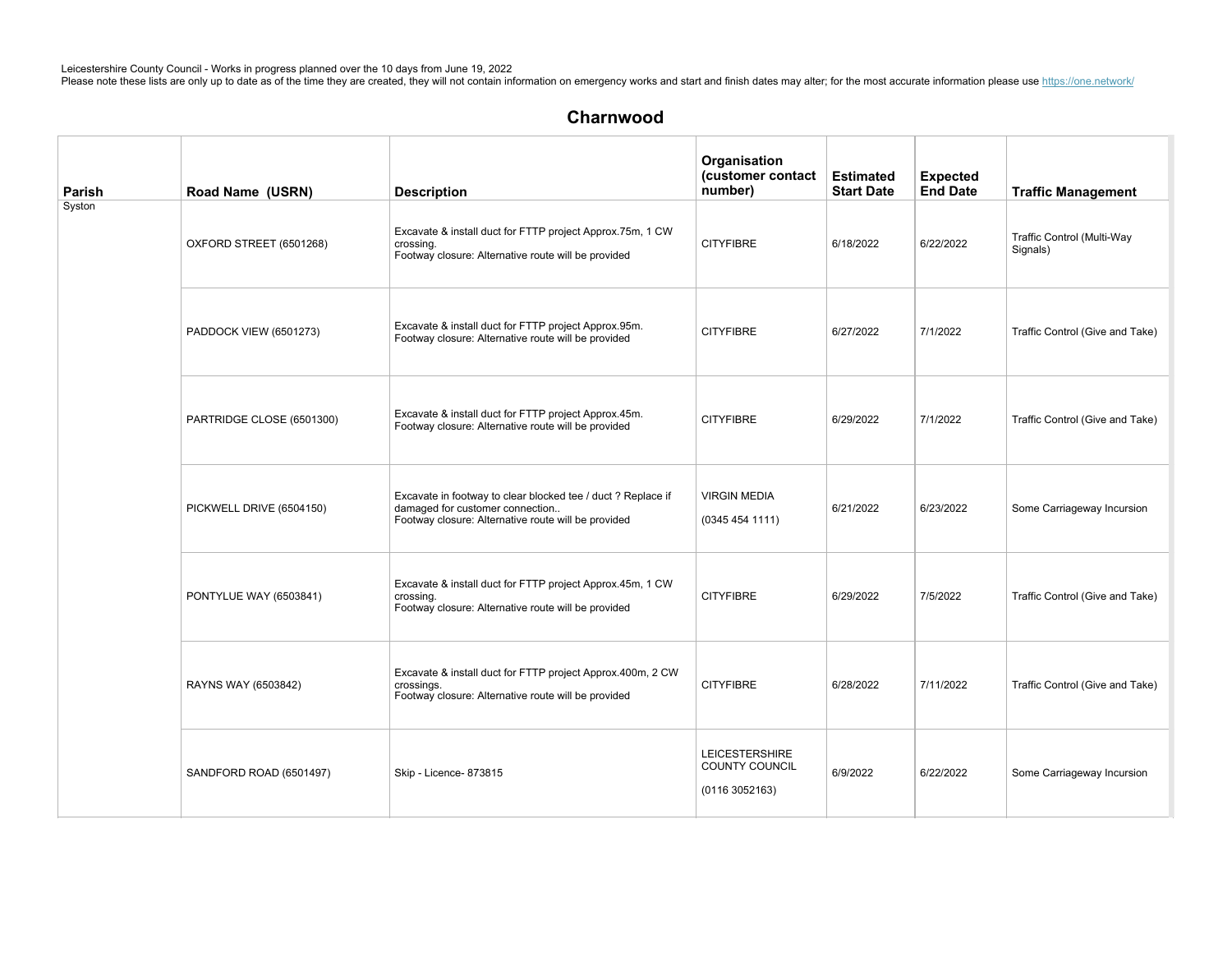| Parish | Road Name (USRN)          | <b>Description</b>                                                                                                                                     | Organisation<br>(customer contact<br>number)             | <b>Estimated</b><br><b>Start Date</b> | <b>Expected</b><br><b>End Date</b> | <b>Traffic Management</b>              |
|--------|---------------------------|--------------------------------------------------------------------------------------------------------------------------------------------------------|----------------------------------------------------------|---------------------------------------|------------------------------------|----------------------------------------|
| Syston | OXFORD STREET (6501268)   | Excavate & install duct for FTTP project Approx.75m, 1 CW<br>crossing.<br>Footway closure: Alternative route will be provided                          | <b>CITYFIBRE</b>                                         | 6/18/2022                             | 6/22/2022                          | Traffic Control (Multi-Way<br>Signals) |
|        | PADDOCK VIEW (6501273)    | Excavate & install duct for FTTP project Approx.95m.<br>Footway closure: Alternative route will be provided                                            | <b>CITYFIBRE</b>                                         | 6/27/2022                             | 7/1/2022                           | Traffic Control (Give and Take)        |
|        | PARTRIDGE CLOSE (6501300) | Excavate & install duct for FTTP project Approx.45m.<br>Footway closure: Alternative route will be provided                                            | <b>CITYFIBRE</b>                                         | 6/29/2022                             | 7/1/2022                           | Traffic Control (Give and Take)        |
|        | PICKWELL DRIVE (6504150)  | Excavate in footway to clear blocked tee / duct ? Replace if<br>damaged for customer connection<br>Footway closure: Alternative route will be provided | <b>VIRGIN MEDIA</b><br>(03454541111)                     | 6/21/2022                             | 6/23/2022                          | Some Carriageway Incursion             |
|        | PONTYLUE WAY (6503841)    | Excavate & install duct for FTTP project Approx.45m, 1 CW<br>crossing.<br>Footway closure: Alternative route will be provided                          | <b>CITYFIBRE</b>                                         | 6/29/2022                             | 7/5/2022                           | Traffic Control (Give and Take)        |
|        | RAYNS WAY (6503842)       | Excavate & install duct for FTTP project Approx.400m, 2 CW<br>crossings.<br>Footway closure: Alternative route will be provided                        | <b>CITYFIBRE</b>                                         | 6/28/2022                             | 7/11/2022                          | Traffic Control (Give and Take)        |
|        | SANDFORD ROAD (6501497)   | Skip - Licence- 873815                                                                                                                                 | <b>LEICESTERSHIRE</b><br>COUNTY COUNCIL<br>(01163052163) | 6/9/2022                              | 6/22/2022                          | Some Carriageway Incursion             |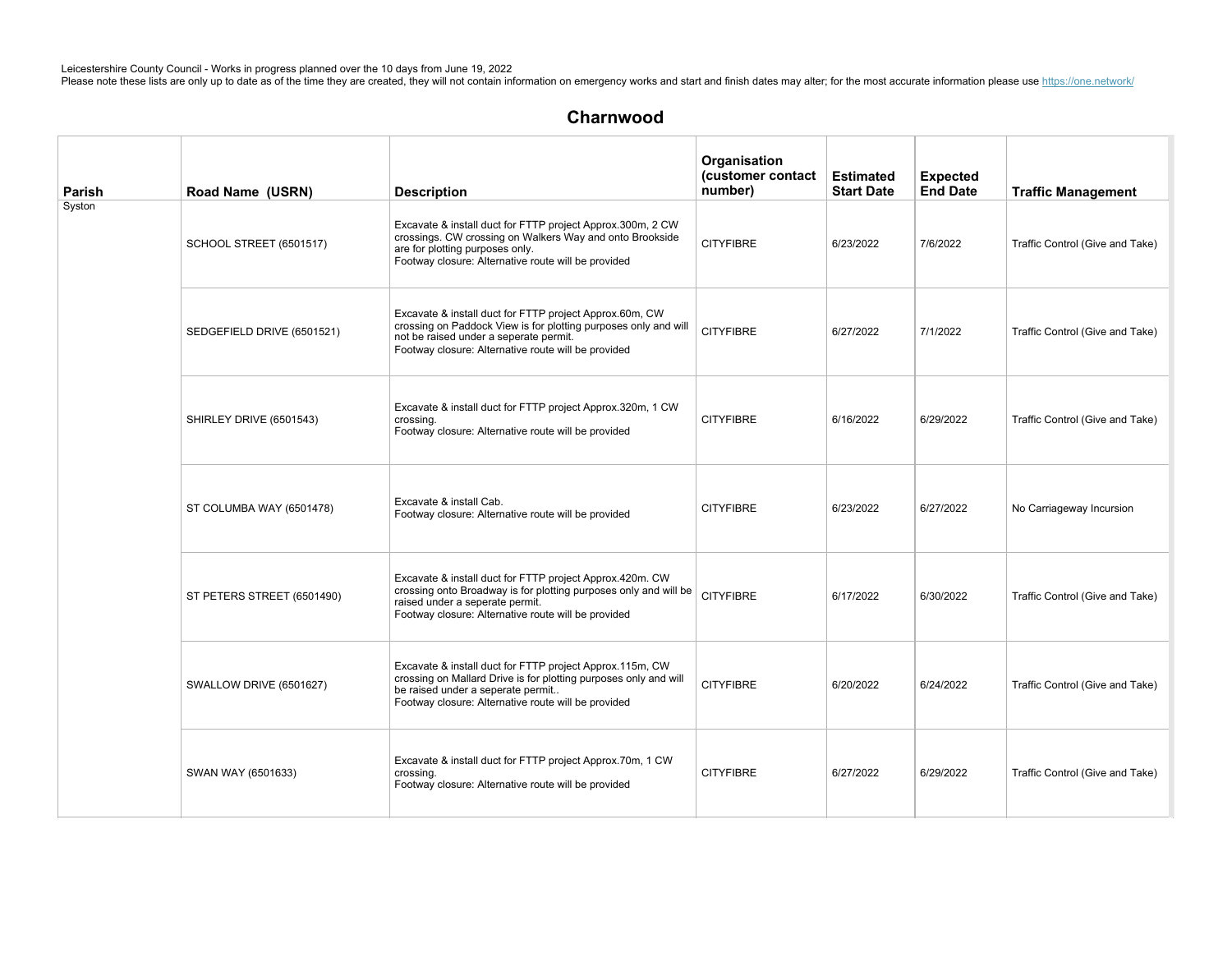| Parish | Road Name (USRN)           | <b>Description</b>                                                                                                                                                                                                          | Organisation<br>(customer contact<br>number) | <b>Estimated</b><br><b>Start Date</b> | <b>Expected</b><br><b>End Date</b> | <b>Traffic Management</b>       |
|--------|----------------------------|-----------------------------------------------------------------------------------------------------------------------------------------------------------------------------------------------------------------------------|----------------------------------------------|---------------------------------------|------------------------------------|---------------------------------|
| Syston | SCHOOL STREET (6501517)    | Excavate & install duct for FTTP project Approx.300m, 2 CW<br>crossings. CW crossing on Walkers Way and onto Brookside<br>are for plotting purposes only.<br>Footway closure: Alternative route will be provided            | <b>CITYFIBRE</b>                             | 6/23/2022                             | 7/6/2022                           | Traffic Control (Give and Take) |
|        | SEDGEFIELD DRIVE (6501521) | Excavate & install duct for FTTP project Approx.60m, CW<br>crossing on Paddock View is for plotting purposes only and will<br>not be raised under a seperate permit.<br>Footway closure: Alternative route will be provided | <b>CITYFIBRE</b>                             | 6/27/2022                             | 7/1/2022                           | Traffic Control (Give and Take) |
|        | SHIRLEY DRIVE (6501543)    | Excavate & install duct for FTTP project Approx.320m, 1 CW<br>crossing.<br>Footway closure: Alternative route will be provided                                                                                              | <b>CITYFIBRE</b>                             | 6/16/2022                             | 6/29/2022                          | Traffic Control (Give and Take) |
|        | ST COLUMBA WAY (6501478)   | Excavate & install Cab.<br>Footway closure: Alternative route will be provided                                                                                                                                              | <b>CITYFIBRE</b>                             | 6/23/2022                             | 6/27/2022                          | No Carriageway Incursion        |
|        | ST PETERS STREET (6501490) | Excavate & install duct for FTTP project Approx.420m. CW<br>crossing onto Broadway is for plotting purposes only and will be<br>raised under a seperate permit.<br>Footway closure: Alternative route will be provided      | <b>CITYFIBRE</b>                             | 6/17/2022                             | 6/30/2022                          | Traffic Control (Give and Take) |
|        | SWALLOW DRIVE (6501627)    | Excavate & install duct for FTTP project Approx.115m, CW<br>crossing on Mallard Drive is for plotting purposes only and will<br>be raised under a seperate permit<br>Footway closure: Alternative route will be provided    | <b>CITYFIBRE</b>                             | 6/20/2022                             | 6/24/2022                          | Traffic Control (Give and Take) |
|        | SWAN WAY (6501633)         | Excavate & install duct for FTTP project Approx.70m, 1 CW<br>crossing.<br>Footway closure: Alternative route will be provided                                                                                               | <b>CITYFIBRE</b>                             | 6/27/2022                             | 6/29/2022                          | Traffic Control (Give and Take) |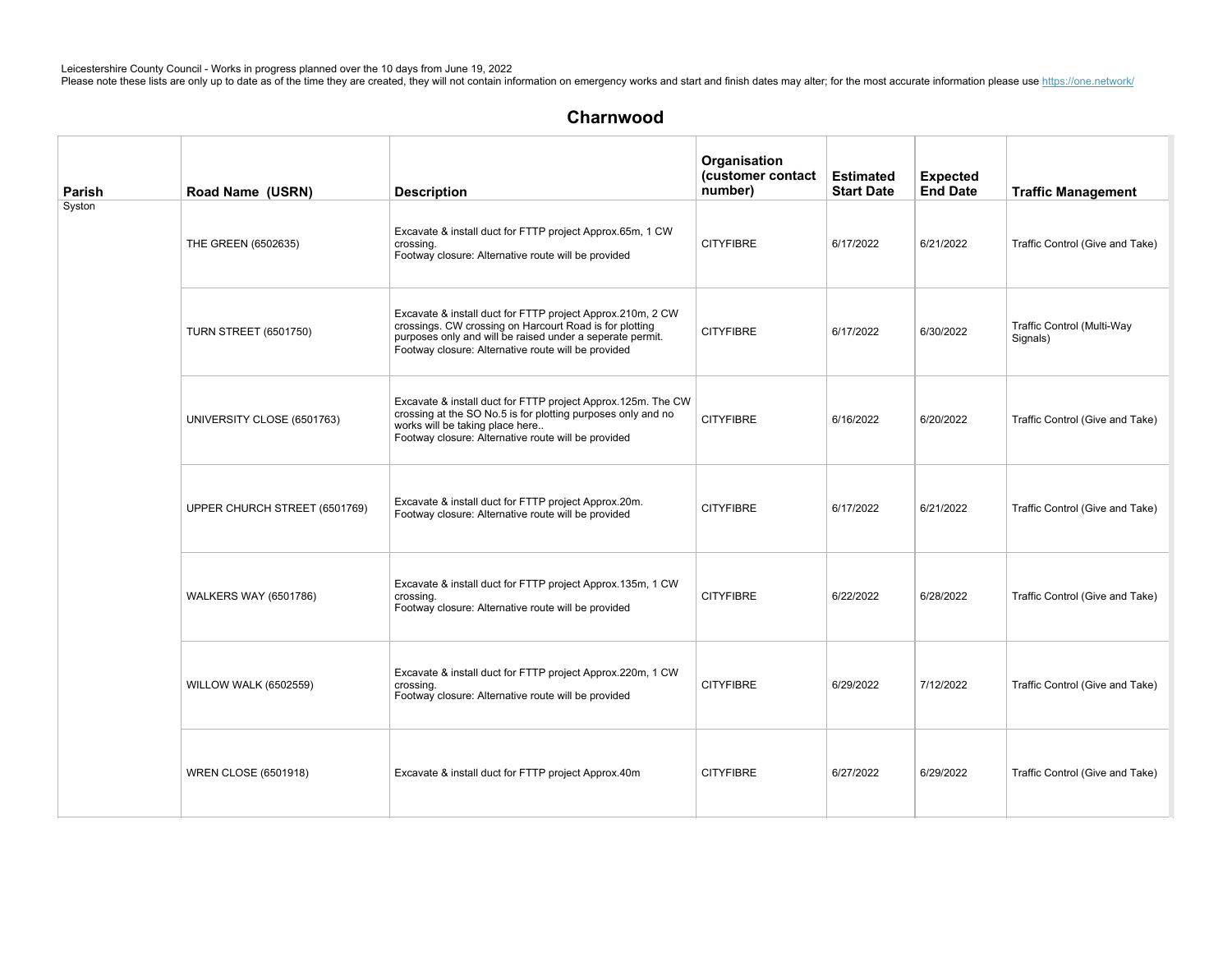| Parish | Road Name (USRN)              | <b>Description</b>                                                                                                                                                                                                                        | Organisation<br>(customer contact<br>number) | <b>Estimated</b><br><b>Start Date</b> | <b>Expected</b><br><b>End Date</b> | <b>Traffic Management</b>              |
|--------|-------------------------------|-------------------------------------------------------------------------------------------------------------------------------------------------------------------------------------------------------------------------------------------|----------------------------------------------|---------------------------------------|------------------------------------|----------------------------------------|
| Syston | THE GREEN (6502635)           | Excavate & install duct for FTTP project Approx.65m, 1 CW<br>crossing.<br>Footway closure: Alternative route will be provided                                                                                                             | <b>CITYFIBRE</b>                             | 6/17/2022                             | 6/21/2022                          | Traffic Control (Give and Take)        |
|        | <b>TURN STREET (6501750)</b>  | Excavate & install duct for FTTP project Approx.210m, 2 CW<br>crossings. CW crossing on Harcourt Road is for plotting<br>purposes only and will be raised under a seperate permit.<br>Footway closure: Alternative route will be provided | <b>CITYFIBRE</b>                             | 6/17/2022                             | 6/30/2022                          | Traffic Control (Multi-Way<br>Signals) |
|        | UNIVERSITY CLOSE (6501763)    | Excavate & install duct for FTTP project Approx.125m. The CW<br>crossing at the SO No.5 is for plotting purposes only and no<br>works will be taking place here<br>Footway closure: Alternative route will be provided                    | <b>CITYFIBRE</b>                             | 6/16/2022                             | 6/20/2022                          | Traffic Control (Give and Take)        |
|        | UPPER CHURCH STREET (6501769) | Excavate & install duct for FTTP project Approx.20m.<br>Footway closure: Alternative route will be provided                                                                                                                               | <b>CITYFIBRE</b>                             | 6/17/2022                             | 6/21/2022                          | Traffic Control (Give and Take)        |
|        | <b>WALKERS WAY (6501786)</b>  | Excavate & install duct for FTTP project Approx.135m, 1 CW<br>crossing.<br>Footway closure: Alternative route will be provided                                                                                                            | <b>CITYFIBRE</b>                             | 6/22/2022                             | 6/28/2022                          | Traffic Control (Give and Take)        |
|        | <b>WILLOW WALK (6502559)</b>  | Excavate & install duct for FTTP project Approx.220m, 1 CW<br>crossing.<br>Footway closure: Alternative route will be provided                                                                                                            | <b>CITYFIBRE</b>                             | 6/29/2022                             | 7/12/2022                          | Traffic Control (Give and Take)        |
|        | <b>WREN CLOSE (6501918)</b>   | Excavate & install duct for FTTP project Approx.40m                                                                                                                                                                                       | <b>CITYFIBRE</b>                             | 6/27/2022                             | 6/29/2022                          | Traffic Control (Give and Take)        |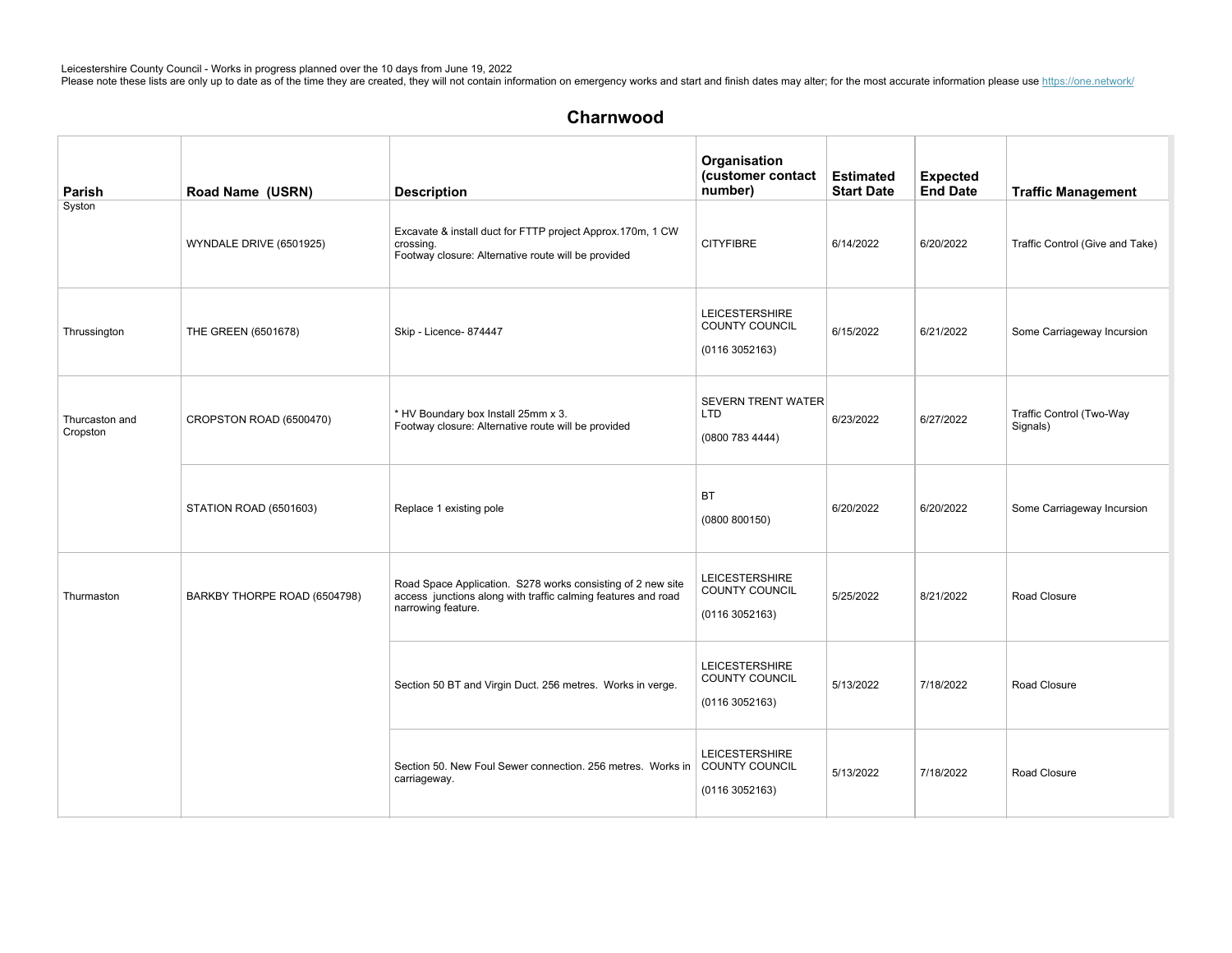# Charnwood

| Parish                     | Road Name (USRN)             | <b>Description</b>                                                                                                                                 | Organisation<br>(customer contact<br>number)                    | <b>Estimated</b><br><b>Start Date</b> | <b>Expected</b><br><b>End Date</b> | <b>Traffic Management</b>            |
|----------------------------|------------------------------|----------------------------------------------------------------------------------------------------------------------------------------------------|-----------------------------------------------------------------|---------------------------------------|------------------------------------|--------------------------------------|
| Syston                     | WYNDALE DRIVE (6501925)      | Excavate & install duct for FTTP project Approx.170m, 1 CW<br>crossing.<br>Footway closure: Alternative route will be provided                     | <b>CITYFIBRE</b>                                                | 6/14/2022                             | 6/20/2022                          | Traffic Control (Give and Take)      |
| Thrussington               | THE GREEN (6501678)          | Skip - Licence- 874447                                                                                                                             | <b>LEICESTERSHIRE</b><br>COUNTY COUNCIL<br>(0116 3052163)       | 6/15/2022                             | 6/21/2022                          | Some Carriageway Incursion           |
| Thurcaston and<br>Cropston | CROPSTON ROAD (6500470)      | * HV Boundary box Install 25mm x 3.<br>Footway closure: Alternative route will be provided                                                         | <b>SEVERN TRENT WATER</b><br><b>LTD</b><br>(0800 783 4444)      | 6/23/2022                             | 6/27/2022                          | Traffic Control (Two-Way<br>Signals) |
|                            | STATION ROAD (6501603)       | Replace 1 existing pole                                                                                                                            | BT<br>(0800 800150)                                             | 6/20/2022                             | 6/20/2022                          | Some Carriageway Incursion           |
| Thurmaston                 | BARKBY THORPE ROAD (6504798) | Road Space Application. S278 works consisting of 2 new site<br>access junctions along with traffic calming features and road<br>narrowing feature. | <b>LEICESTERSHIRE</b><br>COUNTY COUNCIL<br>(01163052163)        | 5/25/2022                             | 8/21/2022                          | Road Closure                         |
|                            |                              | Section 50 BT and Virgin Duct. 256 metres. Works in verge.                                                                                         | <b>LEICESTERSHIRE</b><br><b>COUNTY COUNCIL</b><br>(01163052163) | 5/13/2022                             | 7/18/2022                          | Road Closure                         |
|                            |                              | Section 50. New Foul Sewer connection. 256 metres. Works in   COUNTY COUNCIL<br>carriageway.                                                       | <b>LEICESTERSHIRE</b><br>(01163052163)                          | 5/13/2022                             | 7/18/2022                          | Road Closure                         |

 $B_{\rm eff}$  is the model  $\sigma$  safety  $\sigma$  and  $\sigma$  and  $\sigma$  and  $\sigma$  and  $\sigma$  and  $\sigma$